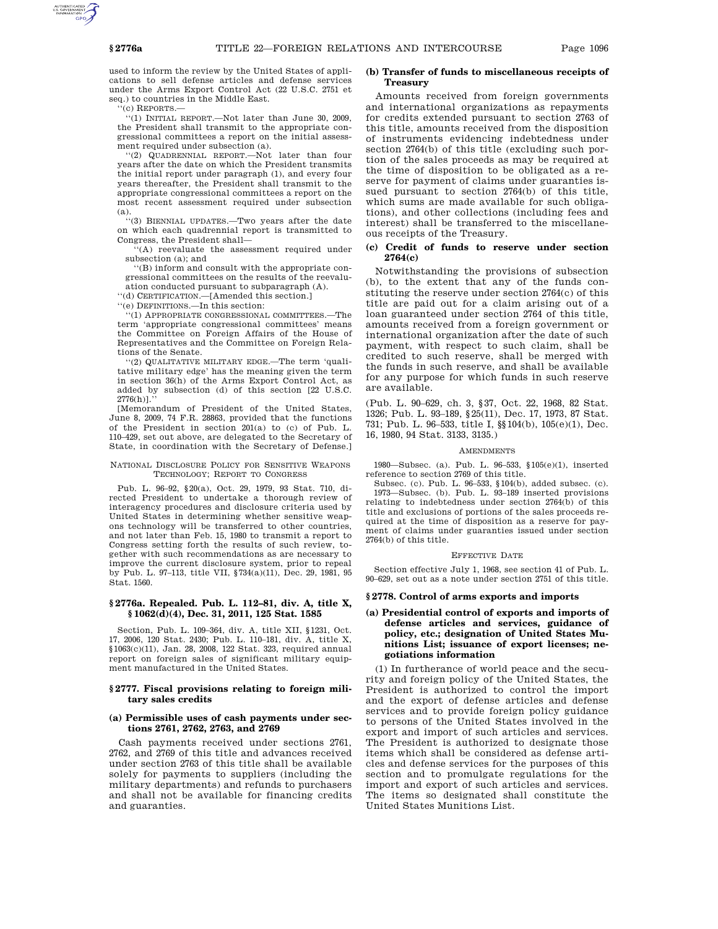used to inform the review by the United States of applications to sell defense articles and defense services under the Arms Export Control Act (22 U.S.C. 2751 et seq.) to countries in the Middle East.

(c) REPORTS.-

'(1) INITIAL REPORT.—Not later than June 30, 2009, the President shall transmit to the appropriate congressional committees a report on the initial assessment required under subsection (a).

''(2) QUADRENNIAL REPORT.—Not later than four years after the date on which the President transmits the initial report under paragraph (1), and every four years thereafter, the President shall transmit to the appropriate congressional committees a report on the most recent assessment required under subsection (a).

''(3) BIENNIAL UPDATES.—Two years after the date on which each quadrennial report is transmitted to Congress, the President shall—

''(A) reevaluate the assessment required under subsection (a); and

''(B) inform and consult with the appropriate congressional committees on the results of the reevalu-

ation conducted pursuant to subparagraph (A). ''(d) CERTIFICATION.—[Amended this section.]

''(e) DEFINITIONS.—In this section:

''(1) APPROPRIATE CONGRESSIONAL COMMITTEES.—The term 'appropriate congressional committees' means the Committee on Foreign Affairs of the House of Representatives and the Committee on Foreign Relations of the Senate.

''(2) QUALITATIVE MILITARY EDGE.—The term 'qualitative military edge' has the meaning given the term in section 36(h) of the Arms Export Control Act, as added by subsection (d) of this section [22 U.S.C.  $2776(h)$ ].

[Memorandum of President of the United States, June 8, 2009, 74 F.R. 28863, provided that the functions of the President in section 201(a) to (c) of Pub. L. 110–429, set out above, are delegated to the Secretary of State, in coordination with the Secretary of Defense.]

#### NATIONAL DISCLOSURE POLICY FOR SENSITIVE WEAPONS TECHNOLOGY; REPORT TO CONGRESS

Pub. L. 96–92, §20(a), Oct. 29, 1979, 93 Stat. 710, directed President to undertake a thorough review of interagency procedures and disclosure criteria used by United States in determining whether sensitive weapons technology will be transferred to other countries, and not later than Feb. 15, 1980 to transmit a report to Congress setting forth the results of such review, together with such recommendations as are necessary to improve the current disclosure system, prior to repeal by Pub. L. 97–113, title VII, §734(a)(11), Dec. 29, 1981, 95 Stat. 1560.

## **§ 2776a. Repealed. Pub. L. 112–81, div. A, title X, § 1062(d)(4), Dec. 31, 2011, 125 Stat. 1585**

Section, Pub. L. 109–364, div. A, title XII, §1231, Oct. 17, 2006, 120 Stat. 2430; Pub. L. 110–181, div. A, title X, §1063(c)(11), Jan. 28, 2008, 122 Stat. 323, required annual report on foreign sales of significant military equipment manufactured in the United States.

## **§ 2777. Fiscal provisions relating to foreign military sales credits**

# **(a) Permissible uses of cash payments under sections 2761, 2762, 2763, and 2769**

Cash payments received under sections 2761, 2762, and 2769 of this title and advances received under section 2763 of this title shall be available solely for payments to suppliers (including the military departments) and refunds to purchasers and shall not be available for financing credits and guaranties.

## **(b) Transfer of funds to miscellaneous receipts of Treasury**

Amounts received from foreign governments and international organizations as repayments for credits extended pursuant to section 2763 of this title, amounts received from the disposition of instruments evidencing indebtedness under section 2764(b) of this title (excluding such portion of the sales proceeds as may be required at the time of disposition to be obligated as a reserve for payment of claims under guaranties issued pursuant to section 2764(b) of this title, which sums are made available for such obligations), and other collections (including fees and interest) shall be transferred to the miscellaneous receipts of the Treasury.

## **(c) Credit of funds to reserve under section 2764(c)**

Notwithstanding the provisions of subsection (b), to the extent that any of the funds constituting the reserve under section 2764(c) of this title are paid out for a claim arising out of a loan guaranteed under section 2764 of this title, amounts received from a foreign government or international organization after the date of such payment, with respect to such claim, shall be credited to such reserve, shall be merged with the funds in such reserve, and shall be available for any purpose for which funds in such reserve are available.

(Pub. L. 90–629, ch. 3, §37, Oct. 22, 1968, 82 Stat. 1326; Pub. L. 93–189, §25(11), Dec. 17, 1973, 87 Stat. 731; Pub. L. 96–533, title I, §§104(b), 105(e)(1), Dec. 16, 1980, 94 Stat. 3133, 3135.)

#### AMENDMENTS

1980—Subsec. (a). Pub. L. 96–533, §105(e)(1), inserted reference to section 2769 of this title.

Subsec. (c). Pub. L. 96–533, §104(b), added subsec. (c). 1973—Subsec. (b). Pub. L. 93–189 inserted provisions relating to indebtedness under section 2764(b) of this title and exclusions of portions of the sales proceeds required at the time of disposition as a reserve for payment of claims under guaranties issued under section 2764(b) of this title.

#### EFFECTIVE DATE

Section effective July 1, 1968, see section 41 of Pub. L. 90–629, set out as a note under section 2751 of this title.

## **§ 2778. Control of arms exports and imports**

# **(a) Presidential control of exports and imports of defense articles and services, guidance of policy, etc.; designation of United States Munitions List; issuance of export licenses; negotiations information**

(1) In furtherance of world peace and the security and foreign policy of the United States, the President is authorized to control the import and the export of defense articles and defense services and to provide foreign policy guidance to persons of the United States involved in the export and import of such articles and services. The President is authorized to designate those items which shall be considered as defense articles and defense services for the purposes of this section and to promulgate regulations for the import and export of such articles and services. The items so designated shall constitute the United States Munitions List.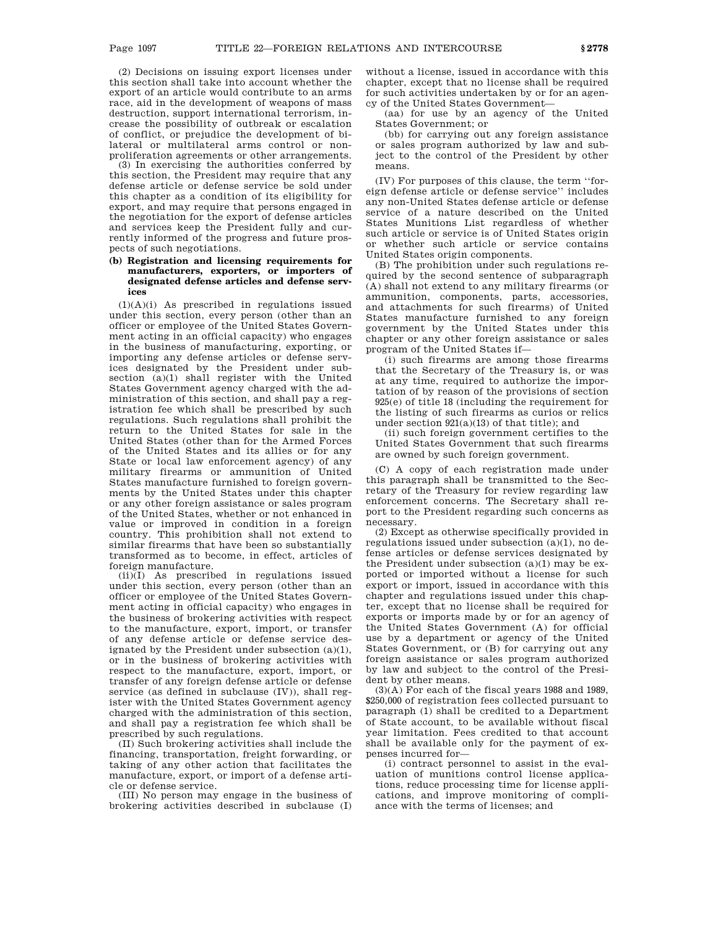(2) Decisions on issuing export licenses under this section shall take into account whether the export of an article would contribute to an arms race, aid in the development of weapons of mass destruction, support international terrorism, increase the possibility of outbreak or escalation of conflict, or prejudice the development of bilateral or multilateral arms control or nonproliferation agreements or other arrangements.

(3) In exercising the authorities conferred by this section, the President may require that any defense article or defense service be sold under this chapter as a condition of its eligibility for export, and may require that persons engaged in the negotiation for the export of defense articles and services keep the President fully and currently informed of the progress and future prospects of such negotiations.

# **(b) Registration and licensing requirements for manufacturers, exporters, or importers of designated defense articles and defense services**

 $(1)(A)(i)$  As prescribed in regulations issued under this section, every person (other than an officer or employee of the United States Government acting in an official capacity) who engages in the business of manufacturing, exporting, or importing any defense articles or defense services designated by the President under subsection (a)(1) shall register with the United States Government agency charged with the administration of this section, and shall pay a registration fee which shall be prescribed by such regulations. Such regulations shall prohibit the return to the United States for sale in the United States (other than for the Armed Forces of the United States and its allies or for any State or local law enforcement agency) of any military firearms or ammunition of United States manufacture furnished to foreign governments by the United States under this chapter or any other foreign assistance or sales program of the United States, whether or not enhanced in value or improved in condition in a foreign country. This prohibition shall not extend to similar firearms that have been so substantially transformed as to become, in effect, articles of foreign manufacture.

(ii)(I) As prescribed in regulations issued under this section, every person (other than an officer or employee of the United States Government acting in official capacity) who engages in the business of brokering activities with respect to the manufacture, export, import, or transfer of any defense article or defense service designated by the President under subsection (a)(1), or in the business of brokering activities with respect to the manufacture, export, import, or transfer of any foreign defense article or defense service (as defined in subclause (IV)), shall register with the United States Government agency charged with the administration of this section, and shall pay a registration fee which shall be prescribed by such regulations.

(II) Such brokering activities shall include the financing, transportation, freight forwarding, or taking of any other action that facilitates the manufacture, export, or import of a defense article or defense service.

(III) No person may engage in the business of brokering activities described in subclause (I)

without a license, issued in accordance with this chapter, except that no license shall be required for such activities undertaken by or for an agency of the United States Government—

(aa) for use by an agency of the United States Government; or

(bb) for carrying out any foreign assistance or sales program authorized by law and subject to the control of the President by other means.

(IV) For purposes of this clause, the term ''foreign defense article or defense service'' includes any non-United States defense article or defense service of a nature described on the United States Munitions List regardless of whether such article or service is of United States origin or whether such article or service contains United States origin components.

(B) The prohibition under such regulations required by the second sentence of subparagraph (A) shall not extend to any military firearms (or ammunition, components, parts, accessories, and attachments for such firearms) of United States manufacture furnished to any foreign government by the United States under this chapter or any other foreign assistance or sales program of the United States if—

(i) such firearms are among those firearms that the Secretary of the Treasury is, or was at any time, required to authorize the importation of by reason of the provisions of section 925(e) of title 18 (including the requirement for the listing of such firearms as curios or relics under section 921(a)(13) of that title); and

(ii) such foreign government certifies to the United States Government that such firearms are owned by such foreign government.

(C) A copy of each registration made under this paragraph shall be transmitted to the Secretary of the Treasury for review regarding law enforcement concerns. The Secretary shall report to the President regarding such concerns as necessary.

(2) Except as otherwise specifically provided in regulations issued under subsection (a)(1), no defense articles or defense services designated by the President under subsection  $(a)(1)$  may be exported or imported without a license for such export or import, issued in accordance with this chapter and regulations issued under this chapter, except that no license shall be required for exports or imports made by or for an agency of the United States Government (A) for official use by a department or agency of the United States Government, or (B) for carrying out any foreign assistance or sales program authorized by law and subject to the control of the President by other means.

 $(3)(A)$  For each of the fiscal years 1988 and 1989, \$250,000 of registration fees collected pursuant to paragraph (1) shall be credited to a Department of State account, to be available without fiscal year limitation. Fees credited to that account shall be available only for the payment of expenses incurred for—

(i) contract personnel to assist in the evaluation of munitions control license applications, reduce processing time for license applications, and improve monitoring of compliance with the terms of licenses; and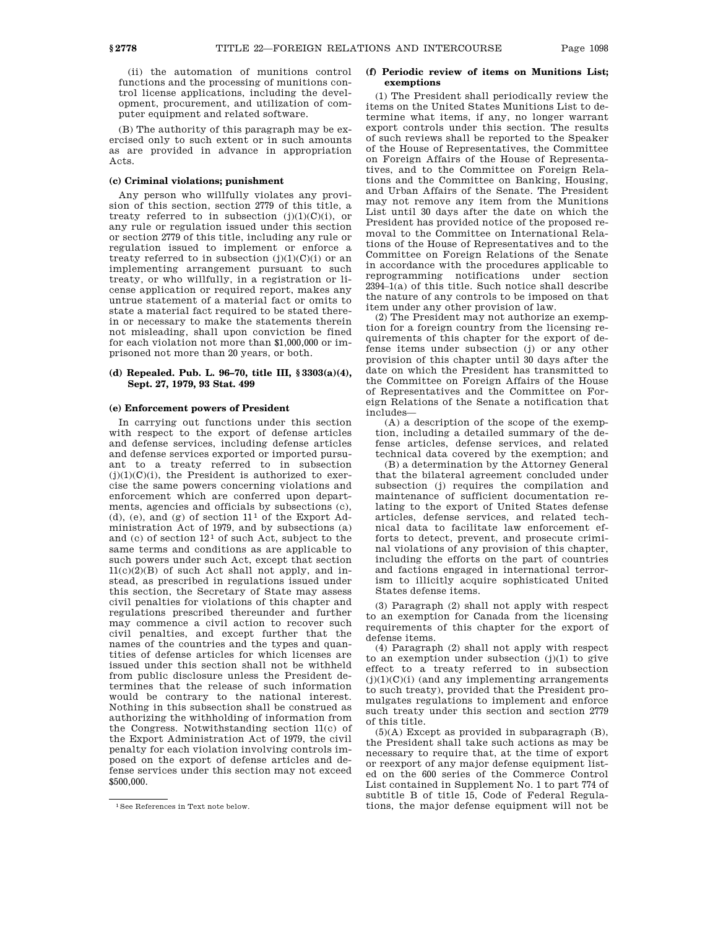(ii) the automation of munitions control functions and the processing of munitions control license applications, including the development, procurement, and utilization of computer equipment and related software.

(B) The authority of this paragraph may be exercised only to such extent or in such amounts as are provided in advance in appropriation Acts.

## **(c) Criminal violations; punishment**

Any person who willfully violates any provision of this section, section 2779 of this title, a treaty referred to in subsection  $(j)(1)(C)(i)$ , or any rule or regulation issued under this section or section 2779 of this title, including any rule or regulation issued to implement or enforce a treaty referred to in subsection  $(j)(1)(C)(i)$  or an implementing arrangement pursuant to such treaty, or who willfully, in a registration or license application or required report, makes any untrue statement of a material fact or omits to state a material fact required to be stated therein or necessary to make the statements therein not misleading, shall upon conviction be fined for each violation not more than \$1,000,000 or imprisoned not more than 20 years, or both.

## **(d) Repealed. Pub. L. 96–70, title III, § 3303(a)(4), Sept. 27, 1979, 93 Stat. 499**

#### **(e) Enforcement powers of President**

In carrying out functions under this section with respect to the export of defense articles and defense services, including defense articles and defense services exported or imported pursuant to a treaty referred to in subsection  $(j)(1)(C)(i)$ , the President is authorized to exercise the same powers concerning violations and enforcement which are conferred upon departments, agencies and officials by subsections (c), (d), (e), and (g) of section  $11<sup>1</sup>$  of the Export Administration Act of 1979, and by subsections (a) and (c) of section  $12<sup>1</sup>$  of such Act, subject to the same terms and conditions as are applicable to such powers under such Act, except that section  $11(c)(2)(B)$  of such Act shall not apply, and instead, as prescribed in regulations issued under this section, the Secretary of State may assess civil penalties for violations of this chapter and regulations prescribed thereunder and further may commence a civil action to recover such civil penalties, and except further that the names of the countries and the types and quantities of defense articles for which licenses are issued under this section shall not be withheld from public disclosure unless the President determines that the release of such information would be contrary to the national interest. Nothing in this subsection shall be construed as authorizing the withholding of information from the Congress. Notwithstanding section 11(c) of the Export Administration Act of 1979, the civil penalty for each violation involving controls imposed on the export of defense articles and defense services under this section may not exceed \$500,000.

# **(f) Periodic review of items on Munitions List; exemptions**

(1) The President shall periodically review the items on the United States Munitions List to determine what items, if any, no longer warrant export controls under this section. The results of such reviews shall be reported to the Speaker of the House of Representatives, the Committee on Foreign Affairs of the House of Representatives, and to the Committee on Foreign Relations and the Committee on Banking, Housing, and Urban Affairs of the Senate. The President may not remove any item from the Munitions List until 30 days after the date on which the President has provided notice of the proposed removal to the Committee on International Relations of the House of Representatives and to the Committee on Foreign Relations of the Senate in accordance with the procedures applicable to reprogramming notifications under section 2394–1(a) of this title. Such notice shall describe the nature of any controls to be imposed on that item under any other provision of law.

(2) The President may not authorize an exemption for a foreign country from the licensing requirements of this chapter for the export of defense items under subsection (j) or any other provision of this chapter until 30 days after the date on which the President has transmitted to the Committee on Foreign Affairs of the House of Representatives and the Committee on Foreign Relations of the Senate a notification that includes—

(A) a description of the scope of the exemption, including a detailed summary of the defense articles, defense services, and related technical data covered by the exemption; and

(B) a determination by the Attorney General that the bilateral agreement concluded under subsection (j) requires the compilation and maintenance of sufficient documentation relating to the export of United States defense articles, defense services, and related technical data to facilitate law enforcement efforts to detect, prevent, and prosecute criminal violations of any provision of this chapter, including the efforts on the part of countries and factions engaged in international terrorism to illicitly acquire sophisticated United States defense items.

(3) Paragraph (2) shall not apply with respect to an exemption for Canada from the licensing requirements of this chapter for the export of defense items.

(4) Paragraph (2) shall not apply with respect to an exemption under subsection  $(j)(1)$  to give effect to a treaty referred to in subsection  $(j)(1)(C)(i)$  (and any implementing arrangements to such treaty), provided that the President promulgates regulations to implement and enforce such treaty under this section and section 2779 of this title.

(5)(A) Except as provided in subparagraph (B), the President shall take such actions as may be necessary to require that, at the time of export or reexport of any major defense equipment listed on the 600 series of the Commerce Control List contained in Supplement No. 1 to part 774 of subtitle B of title 15, Code of Federal Regulations, the major defense equipment will not be

<sup>1</sup>See References in Text note below.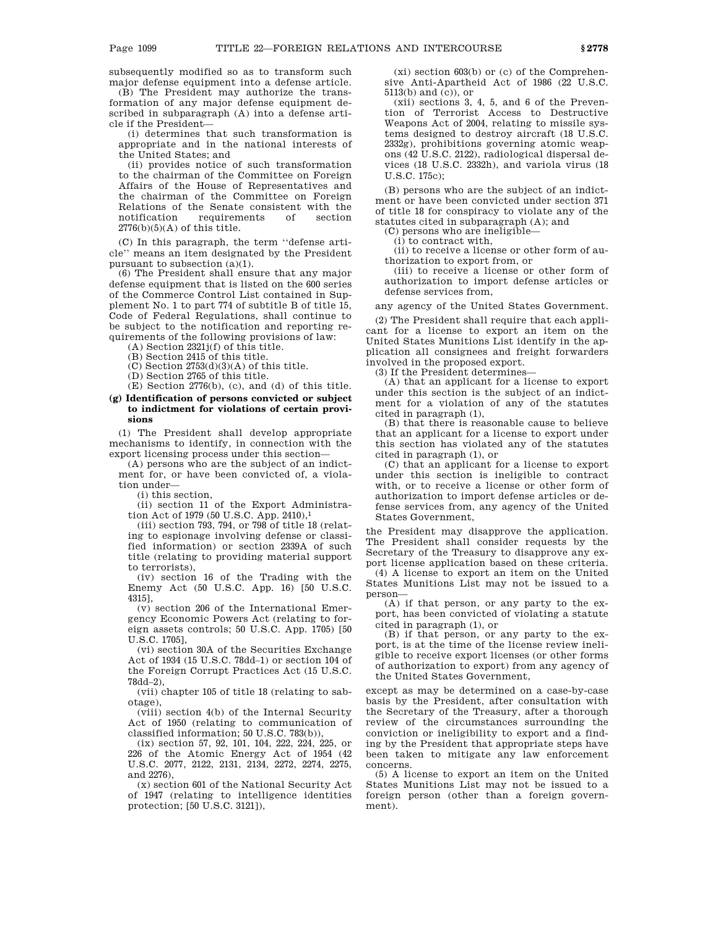subsequently modified so as to transform such major defense equipment into a defense article.

(B) The President may authorize the transformation of any major defense equipment described in subparagraph (A) into a defense article if the President—

(i) determines that such transformation is appropriate and in the national interests of the United States; and

(ii) provides notice of such transformation to the chairman of the Committee on Foreign Affairs of the House of Representatives and the chairman of the Committee on Foreign Relations of the Senate consistent with the notification requirements of section  $2776(b)(5)(A)$  of this title.

(C) In this paragraph, the term ''defense article'' means an item designated by the President pursuant to subsection (a)(1).

(6) The President shall ensure that any major defense equipment that is listed on the 600 series of the Commerce Control List contained in Supplement No. 1 to part 774 of subtitle B of title 15, Code of Federal Regulations, shall continue to be subject to the notification and reporting requirements of the following provisions of law:

(A) Section 2321j(f) of this title.

(B) Section 2415 of this title.

 $(C)$  Section 2753 $(d)(3)(A)$  of this title.

(D) Section 2765 of this title.

(E) Section 2776(b), (c), and (d) of this title.

# **(g) Identification of persons convicted or subject to indictment for violations of certain provisions**

(1) The President shall develop appropriate mechanisms to identify, in connection with the export licensing process under this section—

(A) persons who are the subject of an indictment for, or have been convicted of, a violation under—

(i) this section,

(ii) section 11 of the Export Administration Act of 1979 (50 U.S.C. App. 2410),1

(iii) section 793, 794, or 798 of title 18 (relating to espionage involving defense or classified information) or section 2339A of such title (relating to providing material support to terrorists),

(iv) section 16 of the Trading with the Enemy Act (50 U.S.C. App. 16) [50 U.S.C. 4315],

(v) section 206 of the International Emergency Economic Powers Act (relating to foreign assets controls; 50 U.S.C. App. 1705) [50 U.S.C. 1705],

(vi) section 30A of the Securities Exchange Act of 1934 (15 U.S.C. 78dd–1) or section 104 of the Foreign Corrupt Practices Act (15 U.S.C. 78dd–2),

(vii) chapter 105 of title 18 (relating to sabotage),

(viii) section 4(b) of the Internal Security Act of 1950 (relating to communication of classified information; 50 U.S.C. 783(b)),

(ix) section 57, 92, 101, 104, 222, 224, 225, or 226 of the Atomic Energy Act of 1954 (42 U.S.C. 2077, 2122, 2131, 2134, 2272, 2274, 2275, and 2276),

(x) section 601 of the National Security Act of 1947 (relating to intelligence identities protection; [50 U.S.C. 3121]),

(xi) section 603(b) or (c) of the Comprehensive Anti-Apartheid Act of 1986 (22 U.S.C. 5113(b) and (c)), or

(xii) sections 3, 4, 5, and 6 of the Prevention of Terrorist Access to Destructive Weapons Act of 2004, relating to missile systems designed to destroy aircraft (18 U.S.C. 2332g), prohibitions governing atomic weapons (42 U.S.C. 2122), radiological dispersal devices (18 U.S.C. 2332h), and variola virus (18 U.S.C. 175c);

(B) persons who are the subject of an indictment or have been convicted under section 371 of title 18 for conspiracy to violate any of the statutes cited in subparagraph (A); and

(C) persons who are ineligible—

(i) to contract with,

(ii) to receive a license or other form of authorization to export from, or

(iii) to receive a license or other form of authorization to import defense articles or defense services from,

any agency of the United States Government.

(2) The President shall require that each applicant for a license to export an item on the United States Munitions List identify in the application all consignees and freight forwarders involved in the proposed export.

(3) If the President determines—

(A) that an applicant for a license to export under this section is the subject of an indictment for a violation of any of the statutes cited in paragraph (1),

(B) that there is reasonable cause to believe that an applicant for a license to export under this section has violated any of the statutes cited in paragraph (1), or

(C) that an applicant for a license to export under this section is ineligible to contract with, or to receive a license or other form of authorization to import defense articles or defense services from, any agency of the United States Government,

the President may disapprove the application. The President shall consider requests by the Secretary of the Treasury to disapprove any export license application based on these criteria.

(4) A license to export an item on the United States Munitions List may not be issued to a person—

(A) if that person, or any party to the export, has been convicted of violating a statute cited in paragraph (1), or

(B) if that person, or any party to the export, is at the time of the license review ineligible to receive export licenses (or other forms of authorization to export) from any agency of the United States Government,

except as may be determined on a case-by-case basis by the President, after consultation with the Secretary of the Treasury, after a thorough review of the circumstances surrounding the conviction or ineligibility to export and a finding by the President that appropriate steps have been taken to mitigate any law enforcement concerns.

(5) A license to export an item on the United States Munitions List may not be issued to a foreign person (other than a foreign government).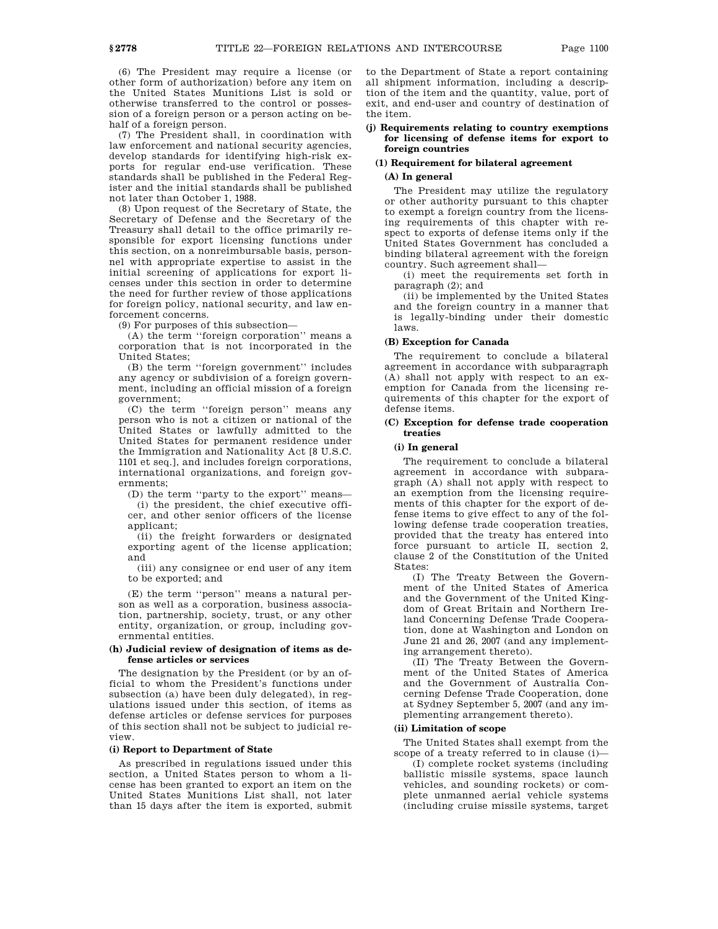(6) The President may require a license (or other form of authorization) before any item on the United States Munitions List is sold or otherwise transferred to the control or possession of a foreign person or a person acting on behalf of a foreign person.

(7) The President shall, in coordination with law enforcement and national security agencies, develop standards for identifying high-risk exports for regular end-use verification. These standards shall be published in the Federal Register and the initial standards shall be published not later than October 1, 1988.

(8) Upon request of the Secretary of State, the Secretary of Defense and the Secretary of the Treasury shall detail to the office primarily responsible for export licensing functions under this section, on a nonreimbursable basis, personnel with appropriate expertise to assist in the initial screening of applications for export licenses under this section in order to determine the need for further review of those applications for foreign policy, national security, and law enforcement concerns.

(9) For purposes of this subsection—

(A) the term ''foreign corporation'' means a corporation that is not incorporated in the United States;

(B) the term ''foreign government'' includes any agency or subdivision of a foreign government, including an official mission of a foreign government;

(C) the term ''foreign person'' means any person who is not a citizen or national of the United States or lawfully admitted to the United States for permanent residence under the Immigration and Nationality Act [8 U.S.C. 1101 et seq.], and includes foreign corporations, international organizations, and foreign governments;

(D) the term ''party to the export'' means—

(i) the president, the chief executive officer, and other senior officers of the license applicant;

(ii) the freight forwarders or designated exporting agent of the license application; and

(iii) any consignee or end user of any item to be exported; and

(E) the term ''person'' means a natural person as well as a corporation, business association, partnership, society, trust, or any other entity, organization, or group, including governmental entities.

# **(h) Judicial review of designation of items as defense articles or services**

The designation by the President (or by an official to whom the President's functions under subsection (a) have been duly delegated), in regulations issued under this section, of items as defense articles or defense services for purposes of this section shall not be subject to judicial review.

# **(i) Report to Department of State**

As prescribed in regulations issued under this section, a United States person to whom a license has been granted to export an item on the United States Munitions List shall, not later than 15 days after the item is exported, submit to the Department of State a report containing all shipment information, including a description of the item and the quantity, value, port of exit, and end-user and country of destination of the item.

## **(j) Requirements relating to country exemptions for licensing of defense items for export to foreign countries**

# **(1) Requirement for bilateral agreement**

# **(A) In general**

The President may utilize the regulatory or other authority pursuant to this chapter to exempt a foreign country from the licensing requirements of this chapter with respect to exports of defense items only if the United States Government has concluded a binding bilateral agreement with the foreign country. Such agreement shall—

(i) meet the requirements set forth in paragraph (2); and

(ii) be implemented by the United States and the foreign country in a manner that is legally-binding under their domestic laws.

# **(B) Exception for Canada**

The requirement to conclude a bilateral agreement in accordance with subparagraph (A) shall not apply with respect to an exemption for Canada from the licensing requirements of this chapter for the export of defense items.

# **(C) Exception for defense trade cooperation treaties**

## **(i) In general**

The requirement to conclude a bilateral agreement in accordance with subparagraph (A) shall not apply with respect to an exemption from the licensing requirements of this chapter for the export of defense items to give effect to any of the following defense trade cooperation treaties, provided that the treaty has entered into force pursuant to article II, section 2, clause 2 of the Constitution of the United States:

(I) The Treaty Between the Government of the United States of America and the Government of the United Kingdom of Great Britain and Northern Ireland Concerning Defense Trade Cooperation, done at Washington and London on June 21 and 26, 2007 (and any implementing arrangement thereto).

(II) The Treaty Between the Government of the United States of America and the Government of Australia Concerning Defense Trade Cooperation, done at Sydney September 5, 2007 (and any implementing arrangement thereto).

## **(ii) Limitation of scope**

The United States shall exempt from the scope of a treaty referred to in clause (i)—

(I) complete rocket systems (including ballistic missile systems, space launch vehicles, and sounding rockets) or complete unmanned aerial vehicle systems (including cruise missile systems, target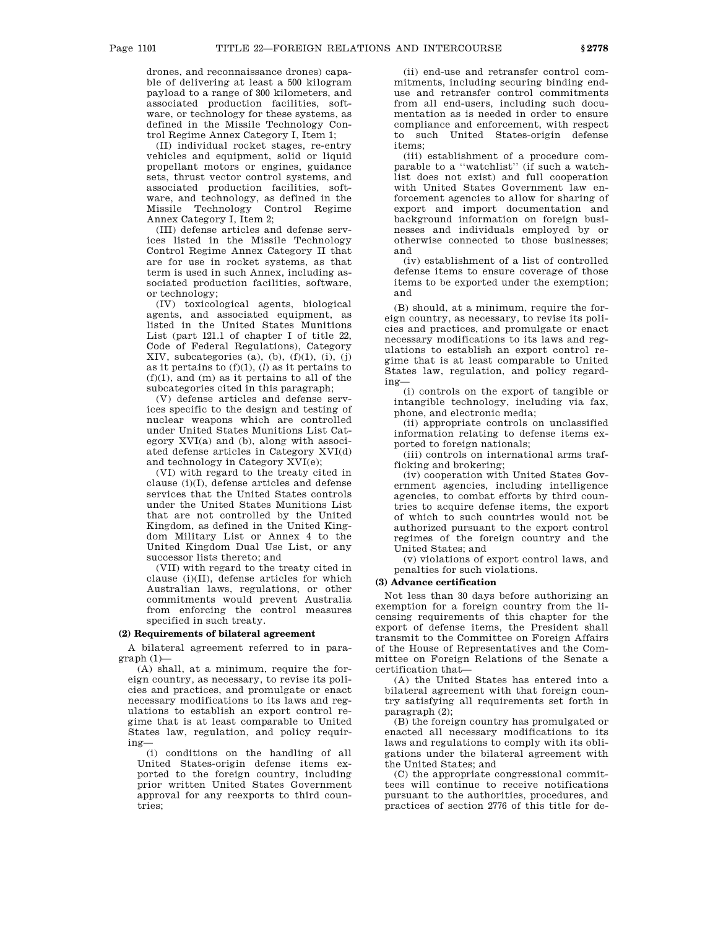drones, and reconnaissance drones) capable of delivering at least a 500 kilogram payload to a range of 300 kilometers, and associated production facilities, software, or technology for these systems, as defined in the Missile Technology Control Regime Annex Category I, Item 1;

(II) individual rocket stages, re-entry vehicles and equipment, solid or liquid propellant motors or engines, guidance sets, thrust vector control systems, and associated production facilities, software, and technology, as defined in the Missile Technology Control Regime Annex Category I, Item 2;

(III) defense articles and defense services listed in the Missile Technology Control Regime Annex Category II that are for use in rocket systems, as that term is used in such Annex, including associated production facilities, software, or technology;

(IV) toxicological agents, biological agents, and associated equipment, as listed in the United States Munitions List (part 121.1 of chapter I of title 22, Code of Federal Regulations), Category XIV, subcategories (a), (b),  $(f)(1)$ , (i), (j) as it pertains to (f)(1), (*l*) as it pertains to  $(f)(1)$ , and  $(m)$  as it pertains to all of the subcategories cited in this paragraph;

(V) defense articles and defense services specific to the design and testing of nuclear weapons which are controlled under United States Munitions List Category XVI(a) and (b), along with associated defense articles in Category XVI(d) and technology in Category XVI(e);

(VI) with regard to the treaty cited in clause (i)(I), defense articles and defense services that the United States controls under the United States Munitions List that are not controlled by the United Kingdom, as defined in the United Kingdom Military List or Annex 4 to the United Kingdom Dual Use List, or any successor lists thereto; and

(VII) with regard to the treaty cited in clause (i)(II), defense articles for which Australian laws, regulations, or other commitments would prevent Australia from enforcing the control measures specified in such treaty.

## **(2) Requirements of bilateral agreement**

A bilateral agreement referred to in paragraph (1)—

(A) shall, at a minimum, require the foreign country, as necessary, to revise its policies and practices, and promulgate or enact necessary modifications to its laws and regulations to establish an export control regime that is at least comparable to United States law, regulation, and policy requiring—

(i) conditions on the handling of all United States-origin defense items exported to the foreign country, including prior written United States Government approval for any reexports to third countries;

(ii) end-use and retransfer control commitments, including securing binding enduse and retransfer control commitments from all end-users, including such documentation as is needed in order to ensure compliance and enforcement, with respect to such United States-origin defense items;

(iii) establishment of a procedure comparable to a ''watchlist'' (if such a watchlist does not exist) and full cooperation with United States Government law enforcement agencies to allow for sharing of export and import documentation and background information on foreign businesses and individuals employed by or otherwise connected to those businesses; and

(iv) establishment of a list of controlled defense items to ensure coverage of those items to be exported under the exemption; and

(B) should, at a minimum, require the foreign country, as necessary, to revise its policies and practices, and promulgate or enact necessary modifications to its laws and regulations to establish an export control regime that is at least comparable to United States law, regulation, and policy regarding—

(i) controls on the export of tangible or intangible technology, including via fax, phone, and electronic media;

(ii) appropriate controls on unclassified information relating to defense items exported to foreign nationals;

(iii) controls on international arms trafficking and brokering;

(iv) cooperation with United States Government agencies, including intelligence agencies, to combat efforts by third countries to acquire defense items, the export of which to such countries would not be authorized pursuant to the export control regimes of the foreign country and the United States; and

(v) violations of export control laws, and penalties for such violations.

# **(3) Advance certification**

Not less than 30 days before authorizing an exemption for a foreign country from the licensing requirements of this chapter for the export of defense items, the President shall transmit to the Committee on Foreign Affairs of the House of Representatives and the Committee on Foreign Relations of the Senate a certification that—

(A) the United States has entered into a bilateral agreement with that foreign country satisfying all requirements set forth in paragraph (2);

(B) the foreign country has promulgated or enacted all necessary modifications to its laws and regulations to comply with its obligations under the bilateral agreement with the United States; and

(C) the appropriate congressional committees will continue to receive notifications pursuant to the authorities, procedures, and practices of section 2776 of this title for de-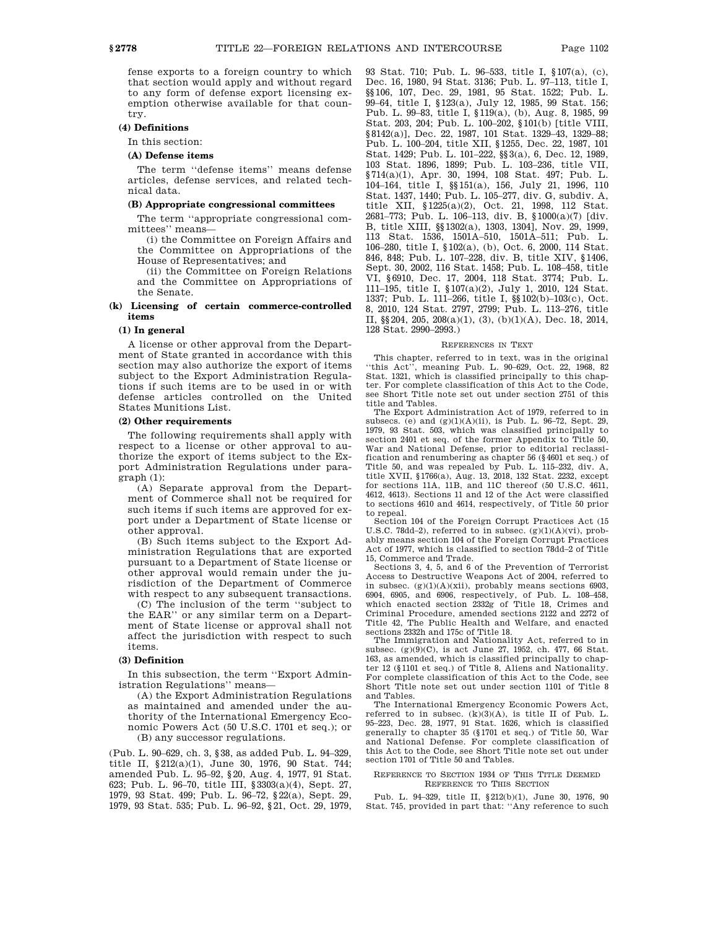fense exports to a foreign country to which that section would apply and without regard to any form of defense export licensing exemption otherwise available for that country.

## **(4) Definitions**

In this section:

## **(A) Defense items**

The term ''defense items'' means defense articles, defense services, and related technical data.

# **(B) Appropriate congressional committees**

The term ''appropriate congressional committees'' means—

(i) the Committee on Foreign Affairs and the Committee on Appropriations of the House of Representatives; and

(ii) the Committee on Foreign Relations and the Committee on Appropriations of the Senate.

## **(k) Licensing of certain commerce-controlled items**

## **(1) In general**

A license or other approval from the Department of State granted in accordance with this section may also authorize the export of items subject to the Export Administration Regulations if such items are to be used in or with defense articles controlled on the United States Munitions List.

## **(2) Other requirements**

The following requirements shall apply with respect to a license or other approval to authorize the export of items subject to the Export Administration Regulations under paragraph (1):

(A) Separate approval from the Department of Commerce shall not be required for such items if such items are approved for export under a Department of State license or other approval.

(B) Such items subject to the Export Administration Regulations that are exported pursuant to a Department of State license or other approval would remain under the jurisdiction of the Department of Commerce with respect to any subsequent transactions.

(C) The inclusion of the term ''subject to the EAR'' or any similar term on a Department of State license or approval shall not affect the jurisdiction with respect to such items.

#### **(3) Definition**

In this subsection, the term ''Export Administration Regulations'' means—

(A) the Export Administration Regulations as maintained and amended under the authority of the International Emergency Economic Powers Act (50 U.S.C. 1701 et seq.); or (B) any successor regulations.

(Pub. L. 90–629, ch. 3, §38, as added Pub. L. 94–329, title II, §212(a)(1), June 30, 1976, 90 Stat. 744; amended Pub. L. 95–92, §20, Aug. 4, 1977, 91 Stat. 623; Pub. L. 96–70, title III, §3303(a)(4), Sept. 27, 1979, 93 Stat. 499; Pub. L. 96–72, §22(a), Sept. 29, 1979, 93 Stat. 535; Pub. L. 96–92, §21, Oct. 29, 1979, 93 Stat. 710; Pub. L. 96–533, title I, §107(a), (c), Dec. 16, 1980, 94 Stat. 3136; Pub. L. 97–113, title I, §§106, 107, Dec. 29, 1981, 95 Stat. 1522; Pub. L. 99–64, title I, §123(a), July 12, 1985, 99 Stat. 156; Pub. L. 99–83, title I, §119(a), (b), Aug. 8, 1985, 99 Stat. 203, 204; Pub. L. 100–202, §101(b) [title VIII, §8142(a)], Dec. 22, 1987, 101 Stat. 1329–43, 1329–88; Pub. L. 100–204, title XII, §1255, Dec. 22, 1987, 101 Stat. 1429; Pub. L. 101–222, §§3(a), 6, Dec. 12, 1989, 103 Stat. 1896, 1899; Pub. L. 103–236, title VII, §714(a)(1), Apr. 30, 1994, 108 Stat. 497; Pub. L. 104–164, title I, §§151(a), 156, July 21, 1996, 110 Stat. 1437, 1440; Pub. L. 105–277, div. G, subdiv. A, title XII, §1225(a)(2), Oct. 21, 1998, 112 Stat. 2681–773; Pub. L. 106–113, div. B, §1000(a)(7) [div. B, title XIII, §§1302(a), 1303, 1304], Nov. 29, 1999, 113 Stat. 1536, 1501A–510, 1501A–511; Pub. L. 106–280, title I, §102(a), (b), Oct. 6, 2000, 114 Stat. 846, 848; Pub. L. 107–228, div. B, title XIV, §1406, Sept. 30, 2002, 116 Stat. 1458; Pub. L. 108–458, title VI, §6910, Dec. 17, 2004, 118 Stat. 3774; Pub. L. 111–195, title I, §107(a)(2), July 1, 2010, 124 Stat. 1337; Pub. L. 111–266, title I, §§102(b)–103(c), Oct. 8, 2010, 124 Stat. 2797, 2799; Pub. L. 113–276, title II, §§204, 205, 208(a)(1), (3), (b)(1)(A), Dec. 18, 2014, 128 Stat. 2990–2993.)

#### REFERENCES IN TEXT

This chapter, referred to in text, was in the original ''this Act'', meaning Pub. L. 90–629, Oct. 22, 1968, 82 Stat. 1321, which is classified principally to this chapter. For complete classification of this Act to the Code, see Short Title note set out under section 2751 of this title and Tables.

The Export Administration Act of 1979, referred to in subsecs. (e) and  $(g)(1)(A)(ii)$ , is Pub. L. 96–72, Sept. 29, 1979, 93 Stat. 503, which was classified principally to section 2401 et seq. of the former Appendix to Title 50, War and National Defense, prior to editorial reclassification and renumbering as chapter 56 (§4601 et seq.) of Title 50, and was repealed by Pub. L. 115–232, div. A, title XVII, §1766(a), Aug. 13, 2018, 132 Stat. 2232, except for sections 11A, 11B, and 11C thereof (50 U.S.C. 4611, 4612, 4613). Sections 11 and 12 of the Act were classified to sections 4610 and 4614, respectively, of Title 50 prior to repeal.

Section 104 of the Foreign Corrupt Practices Act (15 U.S.C. 78dd-2), referred to in subsec.  $(g)(1)(A)(vi)$ , probably means section 104 of the Foreign Corrupt Practices Act of 1977, which is classified to section 78dd–2 of Title 15, Commerce and Trade.

Sections 3, 4, 5, and 6 of the Prevention of Terrorist Access to Destructive Weapons Act of 2004, referred to in subsec.  $(g)(1)(A)(xii)$ , probably means sections 6903, 6904, 6905, and 6906, respectively, of Pub. L. 108–458, which enacted section 2332g of Title 18, Crimes and Criminal Procedure, amended sections 2122 and 2272 of Title 42, The Public Health and Welfare, and enacted sections 2332h and 175c of Title 18.

The Immigration and Nationality Act, referred to in subsec. (g)( $9$ )(C), is act June 27, 1952, ch. 477, 66 Stat. 163, as amended, which is classified principally to chapter 12 (§1101 et seq.) of Title 8, Aliens and Nationality. For complete classification of this Act to the Code, see Short Title note set out under section 1101 of Title 8 and Tables.

The International Emergency Economic Powers Act, referred to in subsec. (k)(3)(A), is title II of Pub. L. 95–223, Dec. 28, 1977, 91 Stat. 1626, which is classified generally to chapter 35 (§1701 et seq.) of Title 50, War and National Defense. For complete classification of this Act to the Code, see Short Title note set out under section 1701 of Title 50 and Tables.

#### REFERENCE TO SECTION 1934 OF THIS TITLE DEEMED REFERENCE TO THIS SECTION

Pub. L. 94–329, title II, §212(b)(1), June 30, 1976, 90 Stat. 745, provided in part that: ''Any reference to such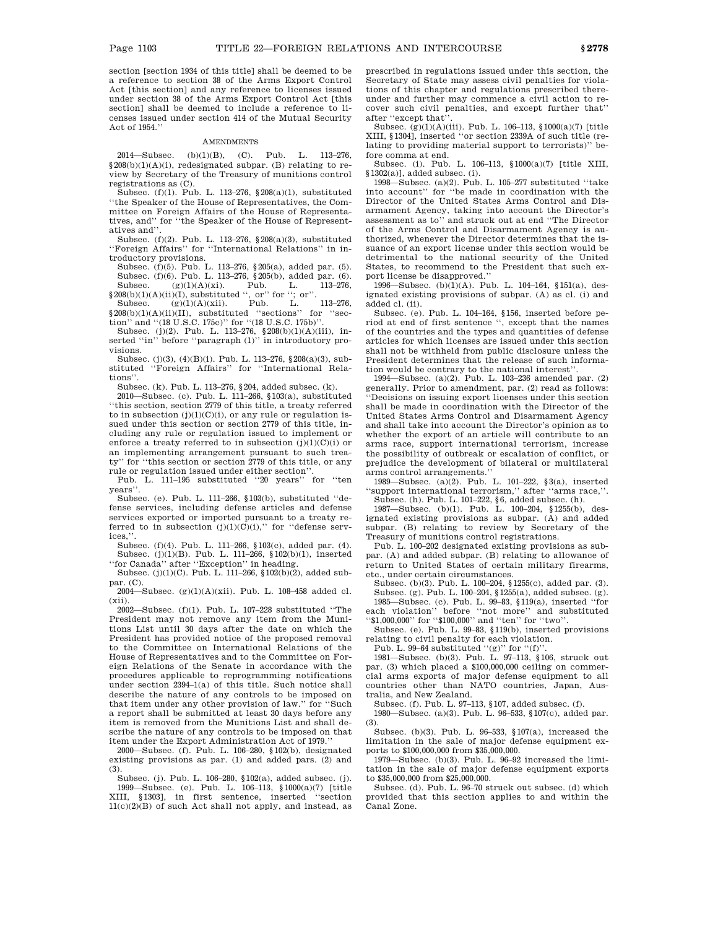section [section 1934 of this title] shall be deemed to be a reference to section 38 of the Arms Export Control Act [this section] and any reference to licenses issued under section 38 of the Arms Export Control Act [this section] shall be deemed to include a reference to licenses issued under section 414 of the Mutual Security Act of 1954.''

#### **AMENDMENTS**

2014—Subsec. (b)(1)(B), (C). Pub. L. 113–276, §208(b)(1)(A)(i), redesignated subpar. (B) relating to review by Secretary of the Treasury of munitions control registrations as (C).

Subsec.  $(f)(1)$ . Pub. L. 113-276, §208 $(a)(1)$ , substituted ''the Speaker of the House of Representatives, the Committee on Foreign Affairs of the House of Representatives, and'' for ''the Speaker of the House of Representatives and''.

Subsec. (f)(2). Pub. L. 113–276, §208(a)(3), substituted ''Foreign Affairs'' for ''International Relations'' in introductory provisions.

Subsec. (f)(5). Pub. L. 113–276, §205(a), added par. (5). Subsec. (f)(6). Pub. L. 113–276, §205(b), added par. (6). Subsec. (g)(1)(A)(xi). Pub. L. 113–276,  $$208(b)(1)(A)(ii)(I)$ , substituted ", or" for "; or".

Subsec.  $(g)(1)(A)(xii)$ . Pub. L. 113-276, §208(b)(1)(A)(ii)(II), substituted ''sections'' for ''section" and "(18 U.S.C. 175c)" for "(18 U.S.C. 175b)"

Subsec. (j)(2). Pub. L. 113–276, §208(b)(1)(A)(iii), inserted "in" before "paragraph (1)" in introductory provisions.

Subsec. (j)(3), (4)(B)(i). Pub. L. 113–276, §208(a)(3), substituted ''Foreign Affairs'' for ''International Relations''.

Subsec. (k). Pub. L. 113–276, §204, added subsec. (k).

2010—Subsec. (c). Pub. L. 111–266, §103(a), substituted ''this section, section 2779 of this title, a treaty referred to in subsection  $(j)(1)(C)(i)$ , or any rule or regulation issued under this section or section 2779 of this title, including any rule or regulation issued to implement or enforce a treaty referred to in subsection  $(j)(1)(C)(i)$  or an implementing arrangement pursuant to such treaty'' for ''this section or section 2779 of this title, or any rule or regulation issued under either section''.

Pub. L. 111–195 substituted ''20 years'' for ''ten years''.

Subsec. (e). Pub. L. 111–266, §103(b), substituted ''defense services, including defense articles and defense services exported or imported pursuant to a treaty referred to in subsection  $(j)(1)(C)(i)$ ," for "defense services,''.

Subsec. (f)(4). Pub. L. 111–266, §103(c), added par. (4). Subsec. (j)(1)(B). Pub. L. 111–266, §102(b)(1), inserted ''for Canada'' after ''Exception'' in heading.

Subsec. (j)(1)(C). Pub. L. 111–266, §102(b)(2), added subpar. (C).

2004—Subsec. (g)(1)(A)(xii). Pub. L. 108–458 added cl. (xii).

2002—Subsec. (f)(1). Pub. L. 107–228 substituted ''The President may not remove any item from the Munitions List until 30 days after the date on which the President has provided notice of the proposed removal to the Committee on International Relations of the House of Representatives and to the Committee on Foreign Relations of the Senate in accordance with the procedures applicable to reprogramming notifications under section 2394–1(a) of this title. Such notice shall describe the nature of any controls to be imposed on that item under any other provision of law.'' for ''Such a report shall be submitted at least 30 days before any item is removed from the Munitions List and shall describe the nature of any controls to be imposed on that item under the Export Administration Act of 1979.''

2000—Subsec. (f). Pub. L. 106–280, §102(b), designated existing provisions as par. (1) and added pars. (2) and (3).

Subsec. (j). Pub. L. 106–280, §102(a), added subsec. (j). 1999—Subsec. (e). Pub. L. 106–113, §1000(a)(7) [title XIII, §1303], in first sentence, inserted ''section 11(c)(2)(B) of such Act shall not apply, and instead, as prescribed in regulations issued under this section, the Secretary of State may assess civil penalties for violations of this chapter and regulations prescribed thereunder and further may commence a civil action to recover such civil penalties, and except further that'' after "except that"

Subsec. (g)(1)(A)(iii). Pub. L. 106–113, §1000(a)(7) [title XIII, §1304], inserted ''or section 2339A of such title (relating to providing material support to terrorists)'' before comma at end.

Subsec. (i). Pub. L. 106–113, §1000(a)(7) [title XIII, §1302(a)], added subsec. (i).

1998—Subsec. (a)(2). Pub. L. 105–277 substituted ''take into account'' for ''be made in coordination with the Director of the United States Arms Control and Disarmament Agency, taking into account the Director's assessment as to'' and struck out at end ''The Director of the Arms Control and Disarmament Agency is authorized, whenever the Director determines that the issuance of an export license under this section would be detrimental to the national security of the United States, to recommend to the President that such export license be disapproved.''

1996—Subsec. (b)(1)(A). Pub. L. 104–164, §151(a), designated existing provisions of subpar. (A) as cl. (i) and added cl. (ii).

Subsec. (e). Pub. L. 104–164, §156, inserted before period at end of first sentence '', except that the names of the countries and the types and quantities of defense articles for which licenses are issued under this section shall not be withheld from public disclosure unless the President determines that the release of such information would be contrary to the national interest''.

1994—Subsec. (a)(2). Pub. L. 103–236 amended par. (2) generally. Prior to amendment, par. (2) read as follows: ''Decisions on issuing export licenses under this section shall be made in coordination with the Director of the United States Arms Control and Disarmament Agency and shall take into account the Director's opinion as to whether the export of an article will contribute to an arms race, support international terrorism, increase the possibility of outbreak or escalation of conflict, or prejudice the development of bilateral or multilateral arms control arrangements.''

1989—Subsec. (a)(2). Pub. L. 101–222, §3(a), inserted 'support international terrorism," after "arms race,". Subsec. (h). Pub. L. 101–222, §6, added subsec. (h).

1987—Subsec. (b)(1). Pub. L. 100–204, §1255(b), designated existing provisions as subpar. (A) and added subpar. (B) relating to review by Secretary of the Treasury of munitions control registrations.

Pub. L. 100–202 designated existing provisions as subpar. (A) and added subpar. (B) relating to allowance of return to United States of certain military firearms, etc., under certain circumstances.

Subsec. (b)(3). Pub. L. 100–204, §1255(c), added par. (3). Subsec. (g). Pub. L. 100–204, §1255(a), added subsec. (g). 1985—Subsec. (c). Pub. L. 99–83, §119(a), inserted ''for

each violation'' before ''not more'' and substituted ''\$1,000,000'' for ''\$100,000'' and ''ten'' for ''two''.

Subsec. (e). Pub. L. 99–83, §119(b), inserted provisions relating to civil penalty for each violation.

Pub. L. 99–64 substituted " $(g)$ " for " $(f)$ "

1981—Subsec. (b)(3). Pub. L. 97–113, §106, struck out par. (3) which placed a \$100,000,000 ceiling on commercial arms exports of major defense equipment to all countries other than NATO countries, Japan, Australia, and New Zealand.

Subsec. (f). Pub. L. 97–113, §107, added subsec. (f).

1980—Subsec. (a)(3). Pub. L. 96–533, §107(c), added par.

(3). Subsec. (b)(3). Pub. L. 96–533, §107(a), increased the limitation in the sale of major defense equipment exports to \$100,000,000 from \$35,000,000.

1979—Subsec. (b)(3). Pub. L. 96–92 increased the limitation in the sale of major defense equipment exports to \$35,000,000 from \$25,000,000.

Subsec. (d). Pub. L. 96–70 struck out subsec. (d) which provided that this section applies to and within the Canal Zone.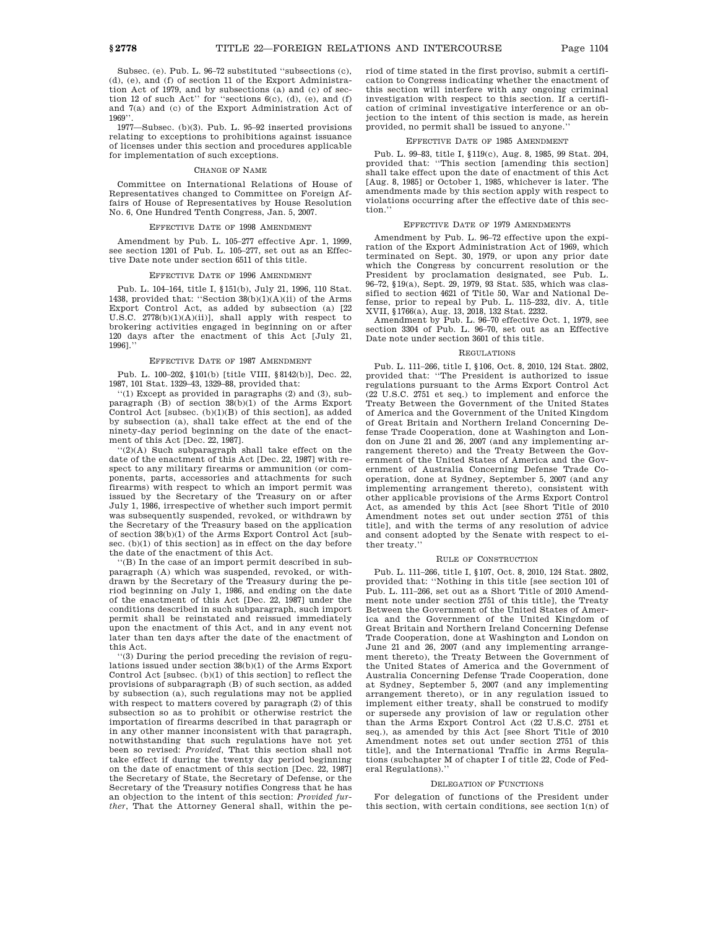Subsec. (e). Pub. L. 96–72 substituted ''subsections (c), (d), (e), and (f) of section 11 of the Export Administration Act of 1979, and by subsections (a) and (c) of section 12 of such Act" for "sections  $6(c)$ ,  $(d)$ ,  $(e)$ , and  $(f)$ and 7(a) and (c) of the Export Administration Act of 1969''.

1977—Subsec. (b)(3). Pub. L. 95–92 inserted provisions relating to exceptions to prohibitions against issuance of licenses under this section and procedures applicable for implementation of such exceptions.

#### CHANGE OF NAME

Committee on International Relations of House of Representatives changed to Committee on Foreign Affairs of House of Representatives by House Resolution No. 6, One Hundred Tenth Congress, Jan. 5, 2007.

#### EFFECTIVE DATE OF 1998 AMENDMENT

Amendment by Pub. L. 105–277 effective Apr. 1, 1999, see section 1201 of Pub. L. 105–277, set out as an Effective Date note under section 6511 of this title.

#### EFFECTIVE DATE OF 1996 AMENDMENT

Pub. L. 104–164, title I, §151(b), July 21, 1996, 110 Stat. 1438, provided that: ''Section 38(b)(1)(A)(ii) of the Arms Export Control Act, as added by subsection (a) [22 U.S.C. 2778(b)(1)(A)(ii)], shall apply with respect to brokering activities engaged in beginning on or after 120 days after the enactment of this Act [July 21, 1996].''

#### EFFECTIVE DATE OF 1987 AMENDMENT

Pub. L. 100–202, §101(b) [title VIII, §8142(b)], Dec. 22, 1987, 101 Stat. 1329–43, 1329–88, provided that:

''(1) Except as provided in paragraphs (2) and (3), subparagraph (B) of section 38(b)(1) of the Arms Export Control Act [subsec.  $(b)(1)(B)$  of this section], as added by subsection (a), shall take effect at the end of the ninety-day period beginning on the date of the enactment of this Act [Dec. 22, 1987].

''(2)(A) Such subparagraph shall take effect on the date of the enactment of this Act [Dec. 22, 1987] with respect to any military firearms or ammunition (or components, parts, accessories and attachments for such firearms) with respect to which an import permit was issued by the Secretary of the Treasury on or after July 1, 1986, irrespective of whether such import permit was subsequently suspended, revoked, or withdrawn by the Secretary of the Treasury based on the application of section 38(b)(1) of the Arms Export Control Act [subsec. (b)(1) of this section] as in effect on the day before the date of the enactment of this Act.

''(B) In the case of an import permit described in subparagraph (A) which was suspended, revoked, or withdrawn by the Secretary of the Treasury during the period beginning on July 1, 1986, and ending on the date of the enactment of this Act [Dec. 22, 1987] under the conditions described in such subparagraph, such import permit shall be reinstated and reissued immediately upon the enactment of this Act, and in any event not later than ten days after the date of the enactment of this Act.

''(3) During the period preceding the revision of regulations issued under section 38(b)(1) of the Arms Export Control Act [subsec. (b)(1) of this section] to reflect the provisions of subparagraph (B) of such section, as added by subsection (a), such regulations may not be applied with respect to matters covered by paragraph (2) of this subsection so as to prohibit or otherwise restrict the importation of firearms described in that paragraph or in any other manner inconsistent with that paragraph, notwithstanding that such regulations have not yet been so revised: *Provided*, That this section shall not take effect if during the twenty day period beginning on the date of enactment of this section [Dec. 22, 1987] the Secretary of State, the Secretary of Defense, or the Secretary of the Treasury notifies Congress that he has an objection to the intent of this section: *Provided further*, That the Attorney General shall, within the period of time stated in the first proviso, submit a certification to Congress indicating whether the enactment of this section will interfere with any ongoing criminal investigation with respect to this section. If a certification of criminal investigative interference or an objection to the intent of this section is made, as herein provided, no permit shall be issued to anyone.''

## EFFECTIVE DATE OF 1985 AMENDMENT

Pub. L. 99–83, title I, §119(c), Aug. 8, 1985, 99 Stat. 204, provided that: ''This section [amending this section] shall take effect upon the date of enactment of this Act [Aug. 8, 1985] or October 1, 1985, whichever is later. The amendments made by this section apply with respect to violations occurring after the effective date of this section.''

## EFFECTIVE DATE OF 1979 AMENDMENTS

Amendment by Pub. L. 96–72 effective upon the expiration of the Export Administration Act of 1969, which terminated on Sept. 30, 1979, or upon any prior date which the Congress by concurrent resolution or the President by proclamation designated, see Pub. L. 96–72, §19(a), Sept. 29, 1979, 93 Stat. 535, which was classified to section 4621 of Title 50, War and National Defense, prior to repeal by Pub. L. 115–232, div. A, title XVII, §1766(a), Aug. 13, 2018, 132 Stat. 2232. Amendment by Pub. L. 96–70 effective Oct. 1, 1979, see

section 3304 of Pub. L. 96–70, set out as an Effective Date note under section 3601 of this title.

#### REGULATIONS

Pub. L. 111–266, title I, §106, Oct. 8, 2010, 124 Stat. 2802, provided that: ''The President is authorized to issue regulations pursuant to the Arms Export Control Act (22 U.S.C. 2751 et seq.) to implement and enforce the Treaty Between the Government of the United States of America and the Government of the United Kingdom of Great Britain and Northern Ireland Concerning Defense Trade Cooperation, done at Washington and London on June 21 and 26, 2007 (and any implementing arrangement thereto) and the Treaty Between the Government of the United States of America and the Government of Australia Concerning Defense Trade Cooperation, done at Sydney, September 5, 2007 (and any implementing arrangement thereto), consistent with other applicable provisions of the Arms Export Control Act, as amended by this Act [see Short Title of 2010 Amendment notes set out under section 2751 of this title], and with the terms of any resolution of advice and consent adopted by the Senate with respect to either treaty.''

#### RULE OF CONSTRUCTION

Pub. L. 111–266, title I, §107, Oct. 8, 2010, 124 Stat. 2802, provided that: ''Nothing in this title [see section 101 of Pub. L. 111–266, set out as a Short Title of 2010 Amendment note under section 2751 of this title], the Treaty Between the Government of the United States of America and the Government of the United Kingdom of Great Britain and Northern Ireland Concerning Defense Trade Cooperation, done at Washington and London on June 21 and 26, 2007 (and any implementing arrangement thereto), the Treaty Between the Government of the United States of America and the Government of Australia Concerning Defense Trade Cooperation, done at Sydney, September 5, 2007 (and any implementing arrangement thereto), or in any regulation issued to implement either treaty, shall be construed to modify or supersede any provision of law or regulation other than the Arms Export Control Act (22 U.S.C. 2751 et seq.), as amended by this Act [see Short Title of 2010 Amendment notes set out under section 2751 of this title], and the International Traffic in Arms Regulations (subchapter M of chapter I of title 22, Code of Federal Regulations).''

#### DELEGATION OF FUNCTIONS

For delegation of functions of the President under this section, with certain conditions, see section 1(n) of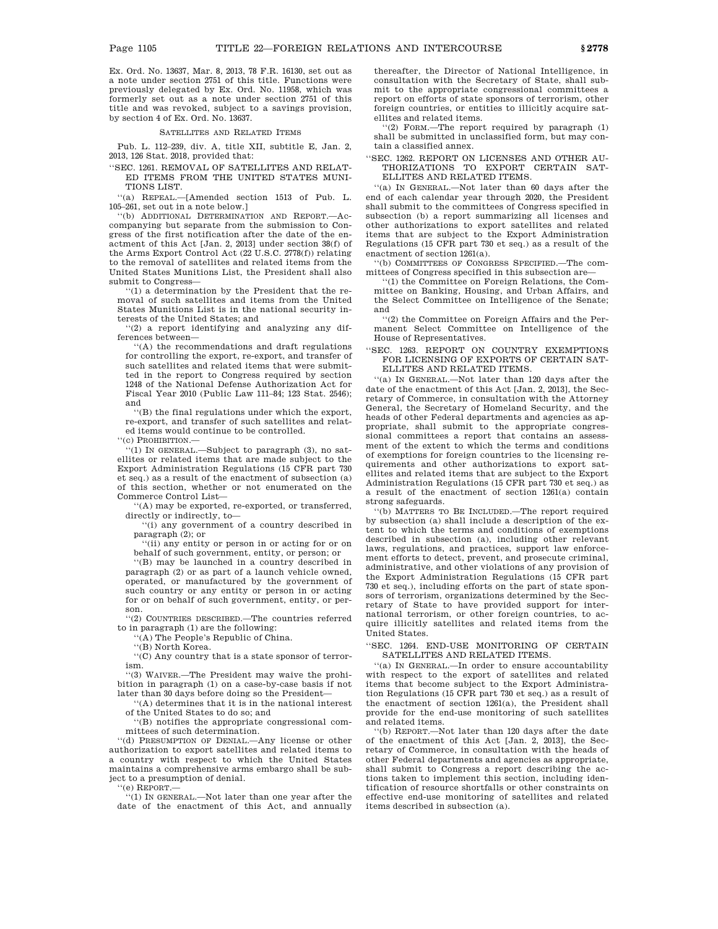Ex. Ord. No. 13637, Mar. 8, 2013, 78 F.R. 16130, set out as a note under section 2751 of this title. Functions were previously delegated by Ex. Ord. No. 11958, which was formerly set out as a note under section 2751 of this title and was revoked, subject to a savings provision, by section 4 of Ex. Ord. No. 13637.

#### SATELLITES AND RELATED ITEMS

Pub. L. 112–239, div. A, title XII, subtitle E, Jan. 2, 2013, 126 Stat. 2018, provided that:

''SEC. 1261. REMOVAL OF SATELLITES AND RELAT-ED ITEMS FROM THE UNITED STATES MUNI-TIONS LIST.

''(a) REPEAL.—[Amended section 1513 of Pub. L. 105–261, set out in a note below.]

''(b) ADDITIONAL DETERMINATION AND REPORT.—Accompanying but separate from the submission to Congress of the first notification after the date of the enactment of this Act [Jan. 2, 2013] under section 38(f) of the Arms Export Control Act (22 U.S.C. 2778(f)) relating to the removal of satellites and related items from the United States Munitions List, the President shall also submit to Congress—

'(1) a determination by the President that the removal of such satellites and items from the United States Munitions List is in the national security interests of the United States; and

''(2) a report identifying and analyzing any differences between—

'(A) the recommendations and draft regulations for controlling the export, re-export, and transfer of such satellites and related items that were submitted in the report to Congress required by section 1248 of the National Defense Authorization Act for Fiscal Year 2010 (Public Law 111–84; 123 Stat. 2546); and

''(B) the final regulations under which the export, re-export, and transfer of such satellites and related items would continue to be controlled.

''(c) PROHIBITION.—

''(1) IN GENERAL.—Subject to paragraph (3), no satellites or related items that are made subject to the Export Administration Regulations (15 CFR part 730 et seq.) as a result of the enactment of subsection (a) of this section, whether or not enumerated on the Commerce Control List—

''(A) may be exported, re-exported, or transferred, directly or indirectly, to—

''(i) any government of a country described in paragraph (2); or

''(ii) any entity or person in or acting for or on behalf of such government, entity, or person; or

''(B) may be launched in a country described in paragraph (2) or as part of a launch vehicle owned, operated, or manufactured by the government of such country or any entity or person in or acting for or on behalf of such government, entity, or person.

''(2) COUNTRIES DESCRIBED.—The countries referred to in paragraph (1) are the following:

''(A) The People's Republic of China.

''(B) North Korea.

''(C) Any country that is a state sponsor of terrorism.

'(3) WAIVER.—The President may waive the prohibition in paragraph (1) on a case-by-case basis if not later than 30 days before doing so the President—

''(A) determines that it is in the national interest of the United States to do so; and

''(B) notifies the appropriate congressional committees of such determination.

''(d) PRESUMPTION OF DENIAL.—Any license or other authorization to export satellites and related items to a country with respect to which the United States maintains a comprehensive arms embargo shall be subject to a presumption of denial.

''(e) REPORT.—

''(1) IN GENERAL.—Not later than one year after the date of the enactment of this Act, and annually thereafter, the Director of National Intelligence, in consultation with the Secretary of State, shall submit to the appropriate congressional committees a report on efforts of state sponsors of terrorism, other foreign countries, or entities to illicitly acquire satellites and related items.

''(2) FORM.—The report required by paragraph (1) shall be submitted in unclassified form, but may contain a classified annex.

''SEC. 1262. REPORT ON LICENSES AND OTHER AU-THORIZATIONS TO EXPORT CERTAIN SAT-ELLITES AND RELATED ITEMS.

''(a) IN GENERAL.—Not later than 60 days after the end of each calendar year through 2020, the President shall submit to the committees of Congress specified in subsection (b) a report summarizing all licenses and other authorizations to export satellites and related items that are subject to the Export Administration Regulations (15 CFR part 730 et seq.) as a result of the enactment of section 1261(a).

''(b) COMMITTEES OF CONGRESS SPECIFIED.—The committees of Congress specified in this subsection are—

''(1) the Committee on Foreign Relations, the Committee on Banking, Housing, and Urban Affairs, and the Select Committee on Intelligence of the Senate; and

''(2) the Committee on Foreign Affairs and the Permanent Select Committee on Intelligence of the House of Representatives.

''SEC. 1263. REPORT ON COUNTRY EXEMPTIONS FOR LICENSING OF EXPORTS OF CERTAIN SAT-ELLITES AND RELATED ITEMS.

''(a) IN GENERAL.—Not later than 120 days after the date of the enactment of this Act [Jan. 2, 2013], the Secretary of Commerce, in consultation with the Attorney General, the Secretary of Homeland Security, and the heads of other Federal departments and agencies as appropriate, shall submit to the appropriate congressional committees a report that contains an assessment of the extent to which the terms and conditions of exemptions for foreign countries to the licensing requirements and other authorizations to export satellites and related items that are subject to the Export Administration Regulations (15 CFR part 730 et seq.) as a result of the enactment of section 1261(a) contain strong safeguards.

''(b) MATTERS TO BE INCLUDED.—The report required by subsection (a) shall include a description of the extent to which the terms and conditions of exemptions described in subsection (a), including other relevant laws, regulations, and practices, support law enforcement efforts to detect, prevent, and prosecute criminal, administrative, and other violations of any provision of the Export Administration Regulations (15 CFR part 730 et seq.), including efforts on the part of state sponsors of terrorism, organizations determined by the Secretary of State to have provided support for international terrorism, or other foreign countries, to acquire illicitly satellites and related items from the United States.

''SEC. 1264. END-USE MONITORING OF CERTAIN SATELLITES AND RELATED ITEMS.

''(a) IN GENERAL.—In order to ensure accountability with respect to the export of satellites and related items that become subject to the Export Administration Regulations (15 CFR part 730 et seq.) as a result of the enactment of section 1261(a), the President shall provide for the end-use monitoring of such satellites and related items.

''(b) REPORT.—Not later than 120 days after the date of the enactment of this Act [Jan. 2, 2013], the Secretary of Commerce, in consultation with the heads of other Federal departments and agencies as appropriate, shall submit to Congress a report describing the actions taken to implement this section, including identification of resource shortfalls or other constraints on effective end-use monitoring of satellites and related items described in subsection (a).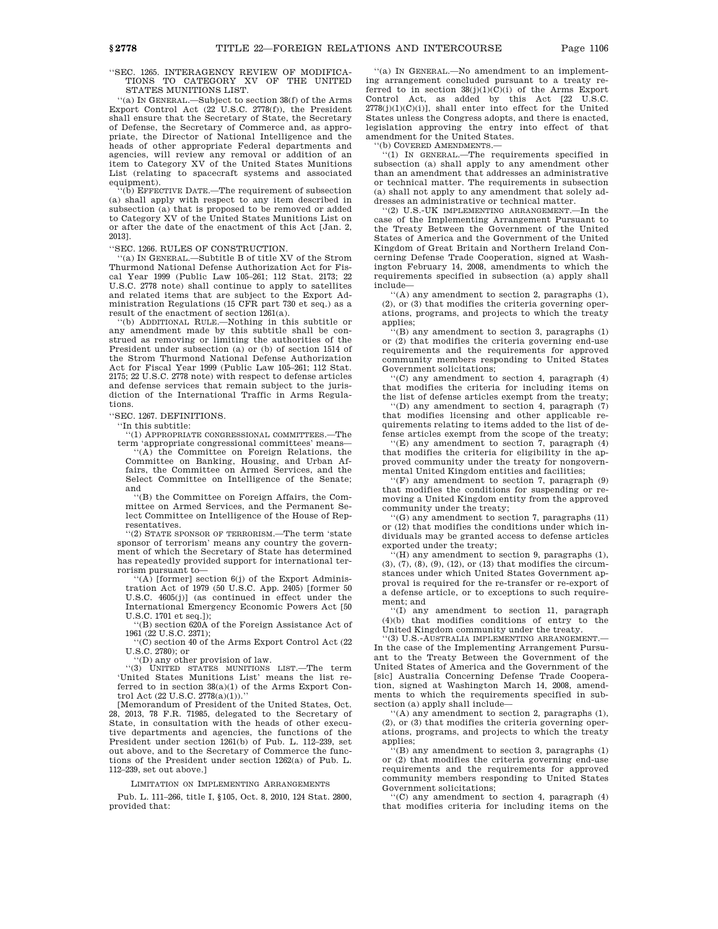## ''SEC. 1265. INTERAGENCY REVIEW OF MODIFICA-TIONS TO CATEGORY XV OF THE UNITED STATES MUNITIONS LIST.

''(a) IN GENERAL.—Subject to section 38(f) of the Arms Export Control Act (22 U.S.C. 2778(f)), the President shall ensure that the Secretary of State, the Secretary of Defense, the Secretary of Commerce and, as appropriate, the Director of National Intelligence and the heads of other appropriate Federal departments and agencies, will review any removal or addition of an item to Category XV of the United States Munitions List (relating to spacecraft systems and associated

equipment). ''(b) EFFECTIVE DATE.—The requirement of subsection (a) shall apply with respect to any item described in subsection (a) that is proposed to be removed or added to Category XV of the United States Munitions List on or after the date of the enactment of this Act [Jan. 2, 2013].

## ''SEC. 1266. RULES OF CONSTRUCTION.

''(a) IN GENERAL.—Subtitle B of title XV of the Strom Thurmond National Defense Authorization Act for Fiscal Year 1999 (Public Law 105–261; 112 Stat. 2173; 22 U.S.C. 2778 note) shall continue to apply to satellites and related items that are subject to the Export Administration Regulations (15 CFR part 730 et seq.) as a result of the enactment of section 1261(a).

'(b) ADDITIONAL RULE.—Nothing in this subtitle or any amendment made by this subtitle shall be construed as removing or limiting the authorities of the President under subsection (a) or (b) of section 1514 of the Strom Thurmond National Defense Authorization Act for Fiscal Year 1999 (Public Law 105–261; 112 Stat. 2175; 22 U.S.C. 2778 note) with respect to defense articles and defense services that remain subject to the jurisdiction of the International Traffic in Arms Regulations.

''SEC. 1267. DEFINITIONS.

''In this subtitle:

''(1) APPROPRIATE CONGRESSIONAL COMMITTEES.—The term 'appropriate congressional committees' means—

''(A) the Committee on Foreign Relations, the Committee on Banking, Housing, and Urban Affairs, the Committee on Armed Services, and the Select Committee on Intelligence of the Senate; and

''(B) the Committee on Foreign Affairs, the Committee on Armed Services, and the Permanent Select Committee on Intelligence of the House of Representatives.

''(2) STATE SPONSOR OF TERRORISM.—The term 'state sponsor of terrorism' means any country the government of which the Secretary of State has determined has repeatedly provided support for international terrorism pursuant to—

''(A) [former] section 6(j) of the Export Administration Act of 1979 (50 U.S.C. App. 2405) [former 50 U.S.C. 4605(j)] (as continued in effect under the International Emergency Economic Powers Act [50

U.S.C. 1701 et seq.]); ''(B) section 620A of the Foreign Assistance Act of 1961 (22 U.S.C. 2371); ''(C) section 40 of the Arms Export Control Act (22

U.S.C. 2780); or

''(D) any other provision of law.

''(3) UNITED STATES MUNITIONS LIST.—The term 'United States Munitions List' means the list referred to in section  $38(a)(1)$  of the Arms Export Control Act (22 U.S.C. 2778(a)(1)).''

[Memorandum of President of the United States, Oct. 28, 2013, 78 F.R. 71985, delegated to the Secretary of State, in consultation with the heads of other executive departments and agencies, the functions of the President under section 1261(b) of Pub. L. 112–239, set out above, and to the Secretary of Commerce the functions of the President under section 1262(a) of Pub. L. 112–239, set out above.]

#### LIMITATION ON IMPLEMENTING ARRANGEMENTS

Pub. L. 111–266, title I, §105, Oct. 8, 2010, 124 Stat. 2800, provided that:

''(a) IN GENERAL.—No amendment to an implementing arrangement concluded pursuant to a treaty referred to in section  $38(j)(1)(C)(i)$  of the Arms Export Control Act, as added by this Act [22 U.S.C.  $2778(j)(1)(C)(i)$ , shall enter into effect for the United States unless the Congress adopts, and there is enacted, legislation approving the entry into effect of that amendment for the United States.

'(b) COVERED AMENDMENTS.-

''(1) IN GENERAL.—The requirements specified in subsection (a) shall apply to any amendment other than an amendment that addresses an administrative or technical matter. The requirements in subsection (a) shall not apply to any amendment that solely addresses an administrative or technical matter.

''(2) U.S.-UK IMPLEMENTING ARRANGEMENT.—In the case of the Implementing Arrangement Pursuant to the Treaty Between the Government of the United States of America and the Government of the United Kingdom of Great Britain and Northern Ireland Concerning Defense Trade Cooperation, signed at Washington February 14, 2008, amendments to which the requirements specified in subsection (a) apply shall include—

''(A) any amendment to section 2, paragraphs (1), (2), or (3) that modifies the criteria governing operations, programs, and projects to which the treaty applies;

 $\cdot$ (B) any amendment to section 3, paragraphs (1) or (2) that modifies the criteria governing end-use requirements and the requirements for approved community members responding to United States Government solicitations;

''(C) any amendment to section 4, paragraph (4) that modifies the criteria for including items on the list of defense articles exempt from the treaty; ''(D) any amendment to section 4, paragraph (7)

that modifies licensing and other applicable requirements relating to items added to the list of defense articles exempt from the scope of the treaty;

 $f(E)$  any amendment to section 7, paragraph  $\overline{f}(4)$ that modifies the criteria for eligibility in the approved community under the treaty for nongovernmental United Kingdom entities and facilities;

 $f'(F)$  any amendment to section 7, paragraph  $(9)$ that modifies the conditions for suspending or removing a United Kingdom entity from the approved community under the treaty;

 $'(G)$  any amendment to section 7, paragraphs  $(11)$ or (12) that modifies the conditions under which individuals may be granted access to defense articles

exported under the treaty; ''(H) any amendment to section 9, paragraphs (1), (3), (7), (8), (9), (12), or (13) that modifies the circumstances under which United States Government approval is required for the re-transfer or re-export of a defense article, or to exceptions to such requirement; and

''(I) any amendment to section 11, paragraph (4)(b) that modifies conditions of entry to the United Kingdom community under the treaty.

'(3) U.S.-AUSTRALIA IMPLEMENTING ARRANGEMENT. In the case of the Implementing Arrangement Pursuant to the Treaty Between the Government of the United States of America and the Government of the [sic] Australia Concerning Defense Trade Cooperation, signed at Washington March 14, 2008, amendments to which the requirements specified in subsection (a) apply shall include—

 $'(A)$  any amendment to section 2, paragraphs  $(1)$ , (2), or (3) that modifies the criteria governing operations, programs, and projects to which the treaty applies;

 $($ B) any amendment to section 3, paragraphs  $(1)$ or (2) that modifies the criteria governing end-use requirements and the requirements for approved community members responding to United States Government solicitations;

''(C) any amendment to section 4, paragraph (4) that modifies criteria for including items on the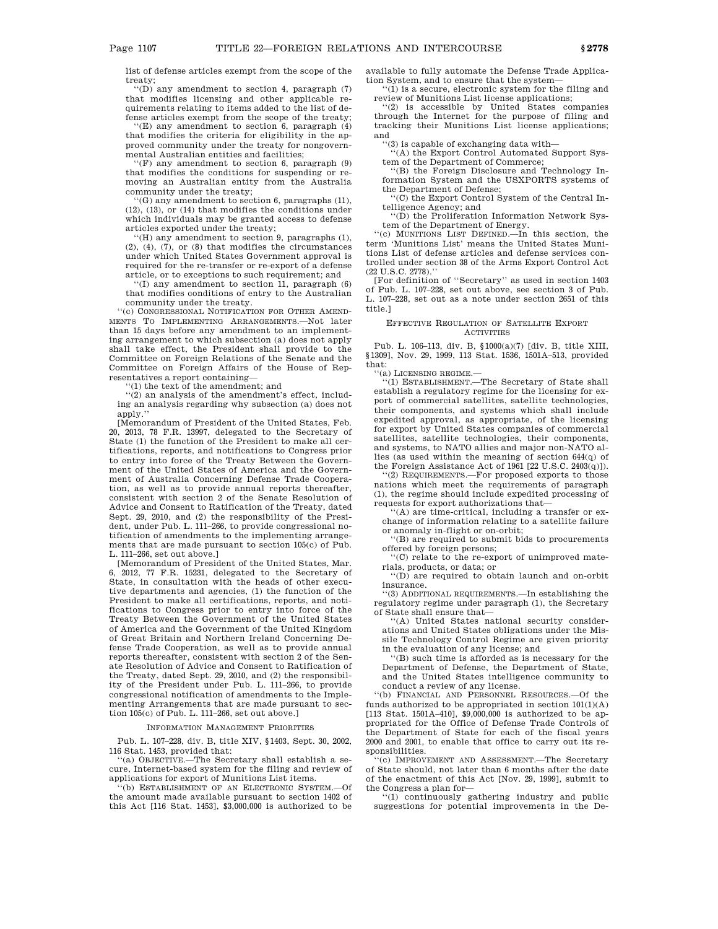list of defense articles exempt from the scope of the treaty;

''(D) any amendment to section 4, paragraph (7) that modifies licensing and other applicable requirements relating to items added to the list of defense articles exempt from the scope of the treaty;

''(E) any amendment to section 6, paragraph (4) that modifies the criteria for eligibility in the approved community under the treaty for nongovernmental Australian entities and facilities;

''(F) any amendment to section 6, paragraph (9) that modifies the conditions for suspending or removing an Australian entity from the Australia community under the treaty;

''(G) any amendment to section 6, paragraphs (11), (12), (13), or (14) that modifies the conditions under which individuals may be granted access to defense articles exported under the treaty;

''(H) any amendment to section 9, paragraphs (1), (2), (4), (7), or (8) that modifies the circumstances under which United States Government approval is required for the re-transfer or re-export of a defense article, or to exceptions to such requirement; and

''(I) any amendment to section 11, paragraph (6) that modifies conditions of entry to the Australian community under the treaty.

''(c) CONGRESSIONAL NOTIFICATION FOR OTHER AMEND-MENTS TO IMPLEMENTING ARRANGEMENTS.—Not later than 15 days before any amendment to an implementing arrangement to which subsection (a) does not apply shall take effect, the President shall provide to the Committee on Foreign Relations of the Senate and the Committee on Foreign Affairs of the House of Representatives a report containing—

''(1) the text of the amendment; and

''(2) an analysis of the amendment's effect, including an analysis regarding why subsection (a) does not apply.''

[Memorandum of President of the United States, Feb. 20, 2013, 78 F.R. 13997, delegated to the Secretary of State (1) the function of the President to make all certifications, reports, and notifications to Congress prior to entry into force of the Treaty Between the Government of the United States of America and the Government of Australia Concerning Defense Trade Cooperation, as well as to provide annual reports thereafter, consistent with section 2 of the Senate Resolution of Advice and Consent to Ratification of the Treaty, dated Sept. 29, 2010, and (2) the responsibility of the President, under Pub. L. 111–266, to provide congressional notification of amendments to the implementing arrangements that are made pursuant to section 105(c) of Pub. L. 111–266, set out above.]

[Memorandum of President of the United States, Mar. 6, 2012, 77 F.R. 15231, delegated to the Secretary of State, in consultation with the heads of other executive departments and agencies, (1) the function of the President to make all certifications, reports, and notifications to Congress prior to entry into force of the Treaty Between the Government of the United States of America and the Government of the United Kingdom of Great Britain and Northern Ireland Concerning Defense Trade Cooperation, as well as to provide annual reports thereafter, consistent with section 2 of the Senate Resolution of Advice and Consent to Ratification of the Treaty, dated Sept. 29, 2010, and (2) the responsibility of the President under Pub. L. 111–266, to provide congressional notification of amendments to the Implementing Arrangements that are made pursuant to section 105(c) of Pub. L. 111–266, set out above.]

#### INFORMATION MANAGEMENT PRIORITIES

Pub. L. 107–228, div. B, title XIV, §1403, Sept. 30, 2002, 116 Stat. 1453, provided that:

''(a) OBJECTIVE.—The Secretary shall establish a secure, Internet-based system for the filing and review of applications for export of Munitions List items.

''(b) ESTABLISHMENT OF AN ELECTRONIC SYSTEM.—Of the amount made available pursuant to section 1402 of this Act [116 Stat. 1453], \$3,000,000 is authorized to be available to fully automate the Defense Trade Application System, and to ensure that the system—

 $\lq\lq(1)$  is a secure, electronic system for the filing and review of Munitions List license applications;

''(2) is accessible by United States companies through the Internet for the purpose of filing and tracking their Munitions List license applications; and

'(3) is capable of exchanging data with-

''(A) the Export Control Automated Support System of the Department of Commerce;

''(B) the Foreign Disclosure and Technology Information System and the USXPORTS systems of the Department of Defense;

'(C) the Export Control System of the Central Intelligence Agency; and

''(D) the Proliferation Information Network System of the Department of Energy.

''(c) MUNITIONS LIST DEFINED.—In this section, the term 'Munitions List' means the United States Munitions List of defense articles and defense services controlled under section 38 of the Arms Export Control Act (22 U.S.C. 2778).''

[For definition of ''Secretary'' as used in section 1403 of Pub. L. 107–228, set out above, see section 3 of Pub. L. 107–228, set out as a note under section 2651 of this title.]

#### EFFECTIVE REGULATION OF SATELLITE EXPORT **ACTIVITIES**

Pub. L. 106–113, div. B, §1000(a)(7) [div. B, title XIII, §1309], Nov. 29, 1999, 113 Stat. 1536, 1501A–513, provided that:

 $``(a)$  LICENSING REGIME.

''(1) ESTABLISHMENT.—The Secretary of State shall establish a regulatory regime for the licensing for export of commercial satellites, satellite technologies, their components, and systems which shall include expedited approval, as appropriate, of the licensing for export by United States companies of commercial satellites, satellite technologies, their components, and systems, to NATO allies and major non-NATO allies (as used within the meaning of section 644(q) of the Foreign Assistance Act of 1961 [22 U.S.C. 2403(q)]). ''(2) REQUIREMENTS.—For proposed exports to those

nations which meet the requirements of paragraph (1), the regime should include expedited processing of requests for export authorizations that—

 $'(A)$  are time-critical, including a transfer or exchange of information relating to a satellite failure or anomaly in-flight or on-orbit;

''(B) are required to submit bids to procurements offered by foreign persons;

''(C) relate to the re-export of unimproved materials, products, or data; or

''(D) are required to obtain launch and on-orbit insurance.

''(3) ADDITIONAL REQUIREMENTS.—In establishing the regulatory regime under paragraph (1), the Secretary of State shall ensure that—

'(A) United States national security considerations and United States obligations under the Missile Technology Control Regime are given priority in the evaluation of any license; and

'(B) such time is afforded as is necessary for the Department of Defense, the Department of State, and the United States intelligence community to conduct a review of any license.

''(b) FINANCIAL AND PERSONNEL RESOURCES.—Of the funds authorized to be appropriated in section  $101(1)(A)$ [113 Stat. 1501A–410], \$9,000,000 is authorized to be appropriated for the Office of Defense Trade Controls of the Department of State for each of the fiscal years 2000 and 2001, to enable that office to carry out its responsibilities.

''(c) IMPROVEMENT AND ASSESSMENT.—The Secretary of State should, not later than 6 months after the date of the enactment of this Act [Nov. 29, 1999], submit to

the Congress a plan for— ''(1) continuously gathering industry and public suggestions for potential improvements in the De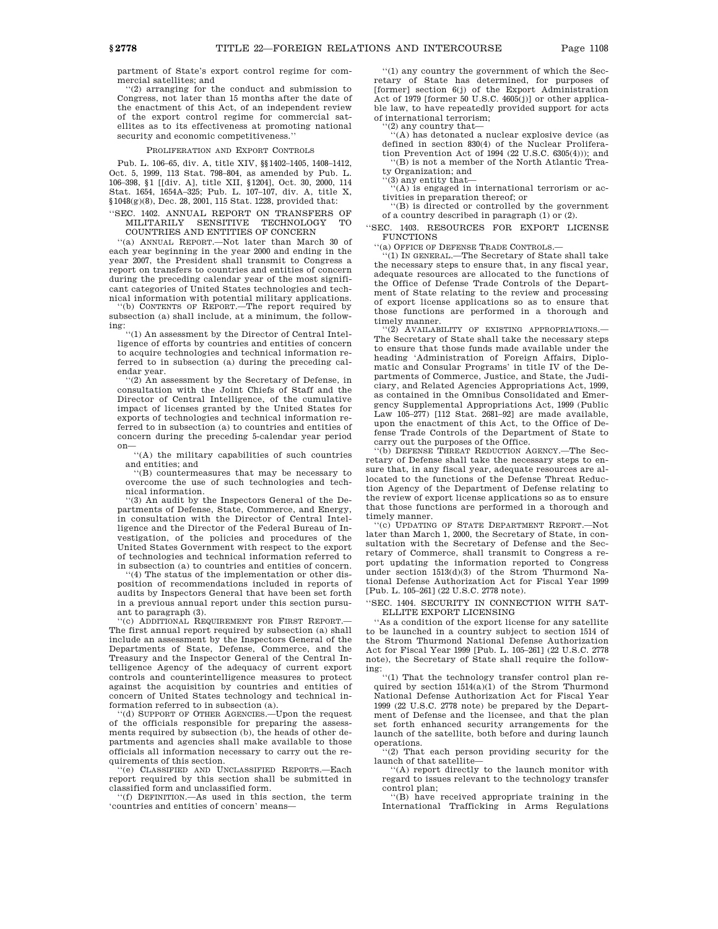partment of State's export control regime for commercial satellites; and

''(2) arranging for the conduct and submission to Congress, not later than 15 months after the date of the enactment of this Act, of an independent review of the export control regime for commercial satellites as to its effectiveness at promoting national security and economic competitiveness.''

#### PROLIFERATION AND EXPORT CONTROLS

Pub. L. 106–65, div. A, title XIV, §§1402–1405, 1408–1412, Oct. 5, 1999, 113 Stat. 798–804, as amended by Pub. L. 106–398, §1 [[div. A], title XII, §1204], Oct. 30, 2000, 114 Stat. 1654, 1654A–325; Pub. L. 107–107, div. A, title X, §1048(g)(8), Dec. 28, 2001, 115 Stat. 1228, provided that:

''SEC. 1402. ANNUAL REPORT ON TRANSFERS OF MILITARILY SENSITIVE TECHNOLOGY TO COUNTRIES AND ENTITIES OF CONCERN

''(a) ANNUAL REPORT.—Not later than March 30 of each year beginning in the year 2000 and ending in the year 2007, the President shall transmit to Congress a report on transfers to countries and entities of concern during the preceding calendar year of the most significant categories of United States technologies and technical information with potential military applications.

''(b) CONTENTS OF REPORT.—The report required by subsection (a) shall include, at a minimum, the following:

''(1) An assessment by the Director of Central Intelligence of efforts by countries and entities of concern to acquire technologies and technical information referred to in subsection (a) during the preceding calendar year.

''(2) An assessment by the Secretary of Defense, in consultation with the Joint Chiefs of Staff and the Director of Central Intelligence, of the cumulative impact of licenses granted by the United States for exports of technologies and technical information referred to in subsection (a) to countries and entities of concern during the preceding 5-calendar year period

on— ''(A) the military capabilities of such countries and entities; and

''(B) countermeasures that may be necessary to overcome the use of such technologies and technical information.

''(3) An audit by the Inspectors General of the Departments of Defense, State, Commerce, and Energy, in consultation with the Director of Central Intelligence and the Director of the Federal Bureau of Investigation, of the policies and procedures of the United States Government with respect to the export of technologies and technical information referred to in subsection (a) to countries and entities of concern.

'(4) The status of the implementation or other disposition of recommendations included in reports of audits by Inspectors General that have been set forth in a previous annual report under this section pursuant to paragraph (3).

''(c) ADDITIONAL REQUIREMENT FOR FIRST REPORT.— The first annual report required by subsection (a) shall include an assessment by the Inspectors General of the Departments of State, Defense, Commerce, and the Treasury and the Inspector General of the Central Intelligence Agency of the adequacy of current export controls and counterintelligence measures to protect against the acquisition by countries and entities of concern of United States technology and technical information referred to in subsection (a).

'(d) SUPPORT OF OTHER AGENCIES.-Upon the request of the officials responsible for preparing the assessments required by subsection (b), the heads of other departments and agencies shall make available to those officials all information necessary to carry out the requirements of this section.

'(e) CLASSIFIED AND UNCLASSIFIED REPORTS.-Each report required by this section shall be submitted in classified form and unclassified form.

''(f) DEFINITION.—As used in this section, the term 'countries and entities of concern' means—

''(1) any country the government of which the Secretary of State has determined, for purposes of [former] section 6(j) of the Export Administration Act of 1979 [former 50 U.S.C.  $4605(j)$ ] or other applicable law, to have repeatedly provided support for acts of international terrorism;

 $'(2)$  any country that—

''(A) has detonated a nuclear explosive device (as defined in section 830(4) of the Nuclear Proliferation Prevention Act of 1994 (22 U.S.C. 6305(4))); and  $f(B)$  is not a member of the North Atlantic Treaty Organization; and

'(3) any entity that-

 $($ A) is engaged in international terrorism or activities in preparation thereof; or

''(B) is directed or controlled by the government of a country described in paragraph (1) or (2).

''SEC. 1403. RESOURCES FOR EXPORT LICENSE **FUNCTIONS** 

''(a) OFFICE OF DEFENSE TRADE CONTROLS.—

''(1) IN GENERAL.—The Secretary of State shall take the necessary steps to ensure that, in any fiscal year, adequate resources are allocated to the functions of the Office of Defense Trade Controls of the Department of State relating to the review and processing of export license applications so as to ensure that those functions are performed in a thorough and timely manner.

''(2) AVAILABILITY OF EXISTING APPROPRIATIONS.— The Secretary of State shall take the necessary steps to ensure that those funds made available under the heading 'Administration of Foreign Affairs, Diplomatic and Consular Programs' in title IV of the Departments of Commerce, Justice, and State, the Judiciary, and Related Agencies Appropriations Act, 1999, as contained in the Omnibus Consolidated and Emergency Supplemental Appropriations Act, 1999 (Public Law 105–277) [112 Stat. 2681–92] are made available, upon the enactment of this Act, to the Office of Defense Trade Controls of the Department of State to carry out the purposes of the Office.

''(b) DEFENSE THREAT REDUCTION AGENCY.—The Secretary of Defense shall take the necessary steps to ensure that, in any fiscal year, adequate resources are allocated to the functions of the Defense Threat Reduction Agency of the Department of Defense relating to the review of export license applications so as to ensure that those functions are performed in a thorough and timely manner.

''(c) UPDATING OF STATE DEPARTMENT REPORT.—Not later than March 1, 2000, the Secretary of State, in consultation with the Secretary of Defense and the Secretary of Commerce, shall transmit to Congress a report updating the information reported to Congress under section 1513(d)(3) of the Strom Thurmond National Defense Authorization Act for Fiscal Year 1999 [Pub. L. 105–261] (22 U.S.C. 2778 note).

''SEC. 1404. SECURITY IN CONNECTION WITH SAT-ELLITE EXPORT LICENSING

''As a condition of the export license for any satellite to be launched in a country subject to section 1514 of the Strom Thurmond National Defense Authorization Act for Fiscal Year 1999 [Pub. L. 105–261] (22 U.S.C. 2778 note), the Secretary of State shall require the follow-

ing: ''(1) That the technology transfer control plan required by section  $1514(a)(1)$  of the Strom Thurmond National Defense Authorization Act for Fiscal Year 1999 (22 U.S.C. 2778 note) be prepared by the Department of Defense and the licensee, and that the plan set forth enhanced security arrangements for the launch of the satellite, both before and during launch operations.

''(2) That each person providing security for the launch of that satellite—

''(A) report directly to the launch monitor with regard to issues relevant to the technology transfer control plan; ''(B) have received appropriate training in the

International Trafficking in Arms Regulations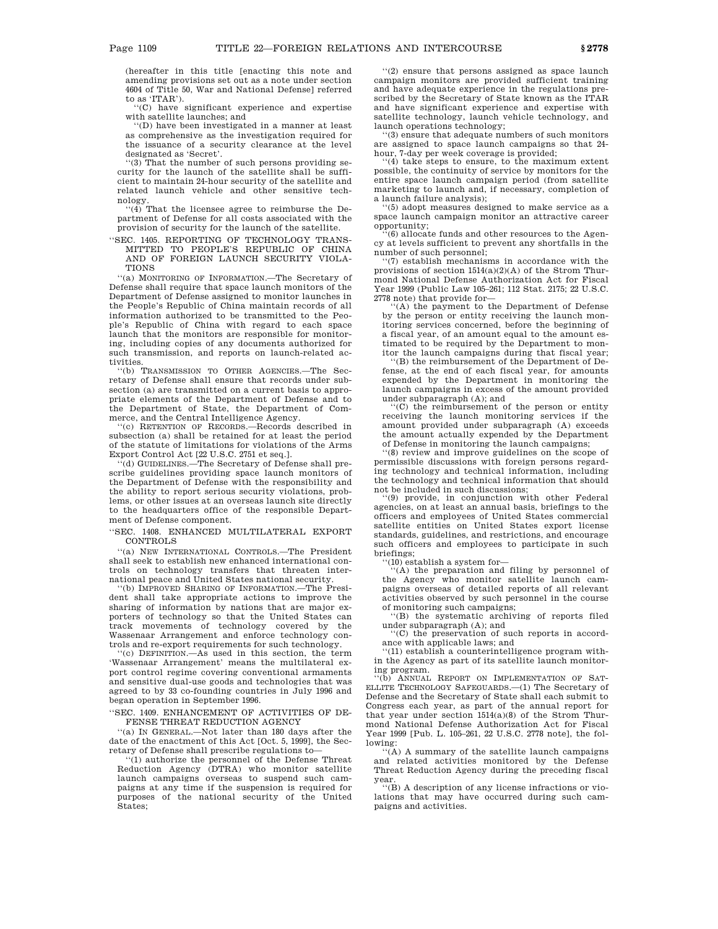(hereafter in this title [enacting this note and amending provisions set out as a note under section 4604 of Title 50, War and National Defense] referred to as 'ITAR').

''(C) have significant experience and expertise with satellite launches; and

''(D) have been investigated in a manner at least as comprehensive as the investigation required for the issuance of a security clearance at the level designated as 'Secret'.

''(3) That the number of such persons providing security for the launch of the satellite shall be sufficient to maintain 24-hour security of the satellite and related launch vehicle and other sensitive tech-

nology. ''(4) That the licensee agree to reimburse the Department of Defense for all costs associated with the provision of security for the launch of the satellite.

''SEC. 1405. REPORTING OF TECHNOLOGY TRANS-MITTED TO PEOPLE'S REPUBLIC OF CHINA AND OF FOREIGN LAUNCH SECURITY VIOLA-**TIONS** 

''(a) MONITORING OF INFORMATION.—The Secretary of Defense shall require that space launch monitors of the Department of Defense assigned to monitor launches in the People's Republic of China maintain records of all information authorized to be transmitted to the People's Republic of China with regard to each space launch that the monitors are responsible for monitoring, including copies of any documents authorized for such transmission, and reports on launch-related activities.

''(b) TRANSMISSION TO OTHER AGENCIES.—The Secretary of Defense shall ensure that records under subsection (a) are transmitted on a current basis to appropriate elements of the Department of Defense and to the Department of State, the Department of Commerce, and the Central Intelligence Agency.

''(c) RETENTION OF RECORDS.—Records described in subsection (a) shall be retained for at least the period of the statute of limitations for violations of the Arms Export Control Act [22 U.S.C. 2751 et seq.].

''(d) GUIDELINES.—The Secretary of Defense shall prescribe guidelines providing space launch monitors of the Department of Defense with the responsibility and the ability to report serious security violations, problems, or other issues at an overseas launch site directly to the headquarters office of the responsible Department of Defense component.

''SEC. 1408. ENHANCED MULTILATERAL EXPORT CONTROLS

''(a) NEW INTERNATIONAL CONTROLS.—The President shall seek to establish new enhanced international controls on technology transfers that threaten international peace and United States national security.

'(b) IMPROVED SHARING OF INFORMATION.-The President shall take appropriate actions to improve the sharing of information by nations that are major exporters of technology so that the United States can track movements of technology covered by the Wassenaar Arrangement and enforce technology controls and re-export requirements for such technology.

'(c) DEFINITION.—As used in this section, the term 'Wassenaar Arrangement' means the multilateral export control regime covering conventional armaments and sensitive dual-use goods and technologies that was agreed to by 33 co-founding countries in July 1996 and began operation in September 1996.

''SEC. 1409. ENHANCEMENT OF ACTIVITIES OF DE-FENSE THREAT REDUCTION AGENCY

''(a) IN GENERAL.—Not later than 180 days after the date of the enactment of this Act [Oct. 5, 1999], the Secretary of Defense shall prescribe regulations to—

''(1) authorize the personnel of the Defense Threat Reduction Agency (DTRA) who monitor satellite launch campaigns overseas to suspend such campaigns at any time if the suspension is required for purposes of the national security of the United States;

''(2) ensure that persons assigned as space launch campaign monitors are provided sufficient training and have adequate experience in the regulations prescribed by the Secretary of State known as the ITAR and have significant experience and expertise with satellite technology, launch vehicle technology, and launch operations technology;

''(3) ensure that adequate numbers of such monitors are assigned to space launch campaigns so that 24 hour, 7-day per week coverage is provided;

''(4) take steps to ensure, to the maximum extent possible, the continuity of service by monitors for the entire space launch campaign period (from satellite marketing to launch and, if necessary, completion of a launch failure analysis);

''(5) adopt measures designed to make service as a space launch campaign monitor an attractive career opportunity;

(6) allocate funds and other resources to the Agency at levels sufficient to prevent any shortfalls in the number of such personnel;

''(7) establish mechanisms in accordance with the provisions of section 1514(a)(2)(A) of the Strom Thurmond National Defense Authorization Act for Fiscal Year 1999 (Public Law 105–261; 112 Stat. 2175; 22 U.S.C. 2778 note) that provide for—

''(A) the payment to the Department of Defense by the person or entity receiving the launch monitoring services concerned, before the beginning of a fiscal year, of an amount equal to the amount estimated to be required by the Department to mon-

itor the launch campaigns during that fiscal year; ''(B) the reimbursement of the Department of Defense, at the end of each fiscal year, for amounts expended by the Department in monitoring the launch campaigns in excess of the amount provided under subparagraph (A); and

''(C) the reimbursement of the person or entity receiving the launch monitoring services if the amount provided under subparagraph (A) exceeds the amount actually expended by the Department of Defense in monitoring the launch campaigns;

''(8) review and improve guidelines on the scope of permissible discussions with foreign persons regarding technology and technical information, including the technology and technical information that should not be included in such discussions;

'(9) provide, in conjunction with other Federal agencies, on at least an annual basis, briefings to the officers and employees of United States commercial satellite entities on United States export license standards, guidelines, and restrictions, and encourage such officers and employees to participate in such briefings;

 $(10)$  establish a system for-

''(A) the preparation and filing by personnel of the Agency who monitor satellite launch campaigns overseas of detailed reports of all relevant activities observed by such personnel in the course of monitoring such campaigns;

''(B) the systematic archiving of reports filed under subparagraph (A); and

''(C) the preservation of such reports in accordance with applicable laws; and

 $(11)$  establish a counterintelligence program within the Agency as part of its satellite launch monitoring program.

''(b) ANNUAL REPORT ON IMPLEMENTATION OF SAT-ELLITE TECHNOLOGY SAFEGUARDS.—(1) The Secretary of Defense and the Secretary of State shall each submit to Congress each year, as part of the annual report for that year under section 1514(a)(8) of the Strom Thurmond National Defense Authorization Act for Fiscal Year 1999 [Pub. L. 105–261, 22 U.S.C. 2778 note], the following:

''(A) A summary of the satellite launch campaigns and related activities monitored by the Defense Threat Reduction Agency during the preceding fiscal year.

''(B) A description of any license infractions or violations that may have occurred during such campaigns and activities.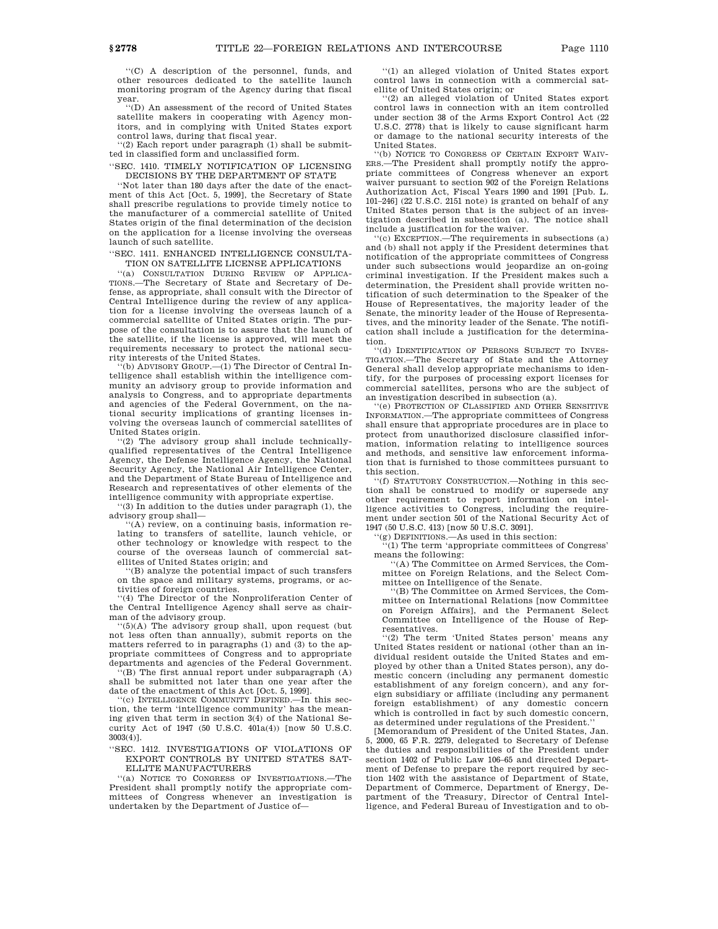''(C) A description of the personnel, funds, and other resources dedicated to the satellite launch monitoring program of the Agency during that fiscal year.

''(D) An assessment of the record of United States satellite makers in cooperating with Agency monitors, and in complying with United States export control laws, during that fiscal year.

'(2) Each report under paragraph (1) shall be submitted in classified form and unclassified form.

''SEC. 1410. TIMELY NOTIFICATION OF LICENSING DECISIONS BY THE DEPARTMENT OF STATE

''Not later than 180 days after the date of the enactment of this Act [Oct. 5, 1999], the Secretary of State shall prescribe regulations to provide timely notice to the manufacturer of a commercial satellite of United States origin of the final determination of the decision on the application for a license involving the overseas launch of such satellite.

''SEC. 1411. ENHANCED INTELLIGENCE CONSULTA-TION ON SATELLITE LICENSE APPLICATIONS

''(a) CONSULTATION DURING REVIEW OF APPLICA-TIONS.—The Secretary of State and Secretary of Defense, as appropriate, shall consult with the Director of Central Intelligence during the review of any application for a license involving the overseas launch of a commercial satellite of United States origin. The purpose of the consultation is to assure that the launch of the satellite, if the license is approved, will meet the requirements necessary to protect the national security interests of the United States.

'(b) ADVISORY GROUP. $-(1)$  The Director of Central Intelligence shall establish within the intelligence community an advisory group to provide information and analysis to Congress, and to appropriate departments and agencies of the Federal Government, on the national security implications of granting licenses involving the overseas launch of commercial satellites of United States origin.

'(2) The advisory group shall include technicallyqualified representatives of the Central Intelligence Agency, the Defense Intelligence Agency, the National Security Agency, the National Air Intelligence Center, and the Department of State Bureau of Intelligence and Research and representatives of other elements of the intelligence community with appropriate expertise.

'(3) In addition to the duties under paragraph (1), the advisory group shall—

 $\mathcal{L}(\mathbf{A})$  review, on a continuing basis, information relating to transfers of satellite, launch vehicle, or other technology or knowledge with respect to the course of the overseas launch of commercial satellites of United States origin; and

''(B) analyze the potential impact of such transfers on the space and military systems, programs, or activities of foreign countries.

''(4) The Director of the Nonproliferation Center of the Central Intelligence Agency shall serve as chairman of the advisory group.

 $(5)(A)$  The advisory group shall, upon request (but not less often than annually), submit reports on the matters referred to in paragraphs (1) and (3) to the appropriate committees of Congress and to appropriate departments and agencies of the Federal Government.

 $($ B) The first annual report under subparagraph  $(A)$ shall be submitted not later than one year after the date of the enactment of this Act [Oct. 5, 1999].

'(c) INTELLIGENCE COMMUNITY DEFINED.—In this section, the term 'intelligence community' has the meaning given that term in section 3(4) of the National Security Act of 1947 (50 U.S.C. 401a(4)) [now 50 U.S.C. 3003(4)].

## ''SEC. 1412. INVESTIGATIONS OF VIOLATIONS OF EXPORT CONTROLS BY UNITED STATES SAT-ELLITE MANUFACTURERS

''(a) NOTICE TO CONGRESS OF INVESTIGATIONS.—The President shall promptly notify the appropriate com-mittees of Congress whenever an investigation is undertaken by the Department of Justice of—

''(1) an alleged violation of United States export control laws in connection with a commercial satellite of United States origin; or

''(2) an alleged violation of United States export control laws in connection with an item controlled under section 38 of the Arms Export Control Act (22 U.S.C. 2778) that is likely to cause significant harm or damage to the national security interests of the United States.

''(b) NOTICE TO CONGRESS OF CERTAIN EXPORT WAIV-ERS.—The President shall promptly notify the appropriate committees of Congress whenever an export waiver pursuant to section 902 of the Foreign Relations Authorization Act, Fiscal Years 1990 and 1991 [Pub. L. 101–246] (22 U.S.C. 2151 note) is granted on behalf of any United States person that is the subject of an investigation described in subsection (a). The notice shall include a justification for the waiver.

''(c) EXCEPTION.—The requirements in subsections (a) and (b) shall not apply if the President determines that notification of the appropriate committees of Congress under such subsections would jeopardize an on-going criminal investigation. If the President makes such a determination, the President shall provide written notification of such determination to the Speaker of the House of Representatives, the majority leader of the Senate, the minority leader of the House of Representatives, and the minority leader of the Senate. The notification shall include a justification for the determination.

''(d) IDENTIFICATION OF PERSONS SUBJECT TO INVES-TIGATION.—The Secretary of State and the Attorney General shall develop appropriate mechanisms to identify, for the purposes of processing export licenses for commercial satellites, persons who are the subject of an investigation described in subsection (a).

''(e) PROTECTION OF CLASSIFIED AND OTHER SENSITIVE INFORMATION.—The appropriate committees of Congress shall ensure that appropriate procedures are in place to protect from unauthorized disclosure classified information, information relating to intelligence sources and methods, and sensitive law enforcement information that is furnished to those committees pursuant to this section.

''(f) STATUTORY CONSTRUCTION.—Nothing in this section shall be construed to modify or supersede any other requirement to report information on intelligence activities to Congress, including the requirement under section 501 of the National Security Act of 1947 (50 U.S.C. 413) [now 50 U.S.C. 3091].

'(g) DEFINITIONS.—As used in this section:

 $(1)$  The term 'appropriate committees of Congress' means the following:

'(A) The Committee on Armed Services, the Committee on Foreign Relations, and the Select Committee on Intelligence of the Senate.

''(B) The Committee on Armed Services, the Committee on International Relations [now Committee on Foreign Affairs], and the Permanent Select Committee on Intelligence of the House of Representatives.

''(2) The term 'United States person' means any United States resident or national (other than an individual resident outside the United States and employed by other than a United States person), any domestic concern (including any permanent domestic establishment of any foreign concern), and any foreign subsidiary or affiliate (including any permanent foreign establishment) of any domestic concern which is controlled in fact by such domestic concern, as determined under regulations of the President.''

[Memorandum of President of the United States, Jan. 5, 2000, 65 F.R. 2279, delegated to Secretary of Defense the duties and responsibilities of the President under section 1402 of Public Law 106–65 and directed Department of Defense to prepare the report required by section 1402 with the assistance of Department of State, Department of Commerce, Department of Energy, Department of the Treasury, Director of Central Intelligence, and Federal Bureau of Investigation and to ob-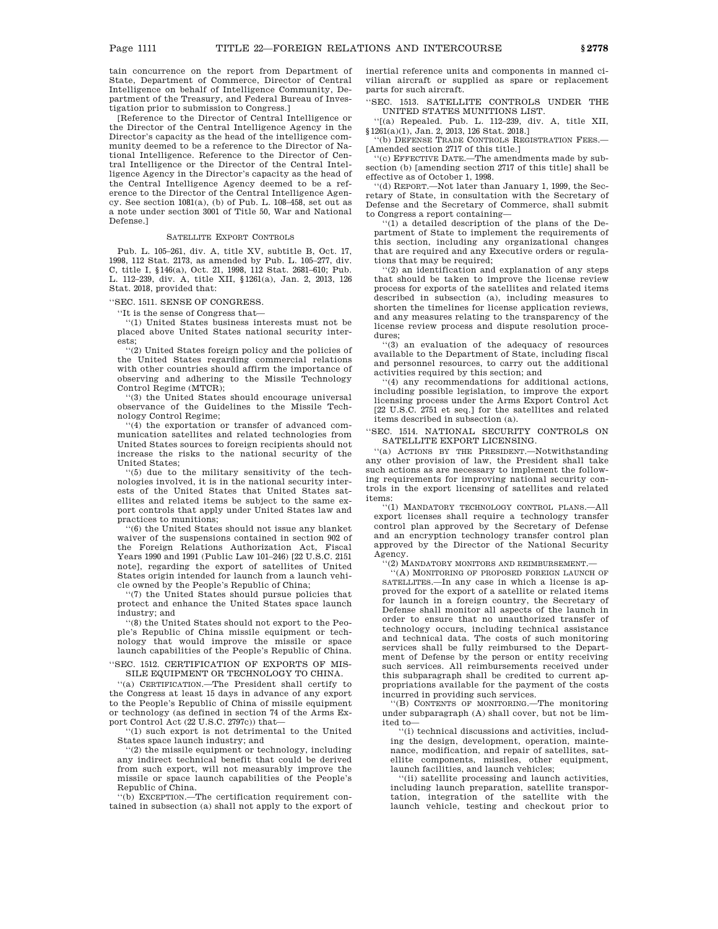tain concurrence on the report from Department of State, Department of Commerce, Director of Central Intelligence on behalf of Intelligence Community, Department of the Treasury, and Federal Bureau of Investigation prior to submission to Congress.]

[Reference to the Director of Central Intelligence or the Director of the Central Intelligence Agency in the Director's capacity as the head of the intelligence community deemed to be a reference to the Director of National Intelligence. Reference to the Director of Central Intelligence or the Director of the Central Intelligence Agency in the Director's capacity as the head of the Central Intelligence Agency deemed to be a reference to the Director of the Central Intelligence Agency. See section 1081(a), (b) of Pub. L. 108–458, set out as a note under section 3001 of Title 50, War and National Defense.]

#### SATELLITE EXPORT CONTROLS

Pub. L. 105–261, div. A, title XV, subtitle B, Oct. 17, 1998, 112 Stat. 2173, as amended by Pub. L. 105–277, div. C, title I, §146(a), Oct. 21, 1998, 112 Stat. 2681–610; Pub. L. 112–239, div. A, title XII, §1261(a), Jan. 2, 2013, 126 Stat. 2018, provided that:

''SEC. 1511. SENSE OF CONGRESS.

''It is the sense of Congress that—

''(1) United States business interests must not be placed above United States national security interests;

''(2) United States foreign policy and the policies of the United States regarding commercial relations with other countries should affirm the importance of observing and adhering to the Missile Technology Control Regime (MTCR);

''(3) the United States should encourage universal observance of the Guidelines to the Missile Technology Control Regime;

''(4) the exportation or transfer of advanced communication satellites and related technologies from United States sources to foreign recipients should not increase the risks to the national security of the United States;

'(5) due to the military sensitivity of the technologies involved, it is in the national security interests of the United States that United States satellites and related items be subject to the same export controls that apply under United States law and practices to munitions;

''(6) the United States should not issue any blanket waiver of the suspensions contained in section 902 of the Foreign Relations Authorization Act, Fiscal Years 1990 and 1991 (Public Law 101–246) [22 U.S.C. 2151 note], regarding the export of satellites of United States origin intended for launch from a launch vehicle owned by the People's Republic of China;

''(7) the United States should pursue policies that protect and enhance the United States space launch industry; and

''(8) the United States should not export to the People's Republic of China missile equipment or technology that would improve the missile or space launch capabilities of the People's Republic of China.

''SEC. 1512. CERTIFICATION OF EXPORTS OF MIS-SILE EQUIPMENT OR TECHNOLOGY TO CHINA.

''(a) CERTIFICATION.—The President shall certify to the Congress at least 15 days in advance of any export to the People's Republic of China of missile equipment or technology (as defined in section 74 of the Arms Export Control Act (22 U.S.C. 2797c)) that—

''(1) such export is not detrimental to the United States space launch industry; and

''(2) the missile equipment or technology, including any indirect technical benefit that could be derived from such export, will not measurably improve the missile or space launch capabilities of the People's Republic of China.

''(b) EXCEPTION.—The certification requirement contained in subsection (a) shall not apply to the export of inertial reference units and components in manned civilian aircraft or supplied as spare or replacement parts for such aircraft.

''SEC. 1513. SATELLITE CONTROLS UNDER THE UNITED STATES MUNITIONS LIST.

''[(a) Repealed. Pub. L. 112–239, div. A, title XII, §1261(a)(1), Jan. 2, 2013, 126 Stat. 2018.]

''(b) DEFENSE TRADE CONTROLS REGISTRATION FEES.— [Amended section 2717 of this title.]

'(c) EFFECTIVE DATE.—The amendments made by subsection (b) [amending section 2717 of this title] shall be effective as of October 1, 1998.

''(d) REPORT.—Not later than January 1, 1999, the Secretary of State, in consultation with the Secretary of Defense and the Secretary of Commerce, shall submit to Congress a report containing—

 $(1)$  a detailed description of the plans of the Department of State to implement the requirements of this section, including any organizational changes that are required and any Executive orders or regulations that may be required;

 $(2)$  an identification and explanation of any steps that should be taken to improve the license review process for exports of the satellites and related items described in subsection (a), including measures to shorten the timelines for license application reviews, and any measures relating to the transparency of the license review process and dispute resolution procedures;

''(3) an evaluation of the adequacy of resources available to the Department of State, including fiscal and personnel resources, to carry out the additional activities required by this section; and

''(4) any recommendations for additional actions, including possible legislation, to improve the export licensing process under the Arms Export Control Act [22 U.S.C. 2751 et seq.] for the satellites and related items described in subsection (a).

'SEC. 1514. NATIONAL SECURITY CONTROLS ON SATELLITE EXPORT LICENSING.

''(a) ACTIONS BY THE PRESIDENT.—Notwithstanding any other provision of law, the President shall take such actions as are necessary to implement the following requirements for improving national security controls in the export licensing of satellites and related items:

''(1) MANDATORY TECHNOLOGY CONTROL PLANS.—All export licenses shall require a technology transfer control plan approved by the Secretary of Defense and an encryption technology transfer control plan approved by the Director of the National Security Agency.

'(2) MANDATORY MONITORS AND REIMBURSEMENT.

''(A) MONITORING OF PROPOSED FOREIGN LAUNCH OF SATELLITES.—In any case in which a license is approved for the export of a satellite or related items for launch in a foreign country, the Secretary of Defense shall monitor all aspects of the launch in order to ensure that no unauthorized transfer of technology occurs, including technical assistance and technical data. The costs of such monitoring services shall be fully reimbursed to the Department of Defense by the person or entity receiving such services. All reimbursements received under this subparagraph shall be credited to current appropriations available for the payment of the costs incurred in providing such services.

''(B) CONTENTS OF MONITORING.—The monitoring under subparagraph (A) shall cover, but not be limited to—

''(i) technical discussions and activities, including the design, development, operation, maintenance, modification, and repair of satellites, satellite components, missiles, other equipment, launch facilities, and launch vehicles;

''(ii) satellite processing and launch activities, including launch preparation, satellite transportation, integration of the satellite with the launch vehicle, testing and checkout prior to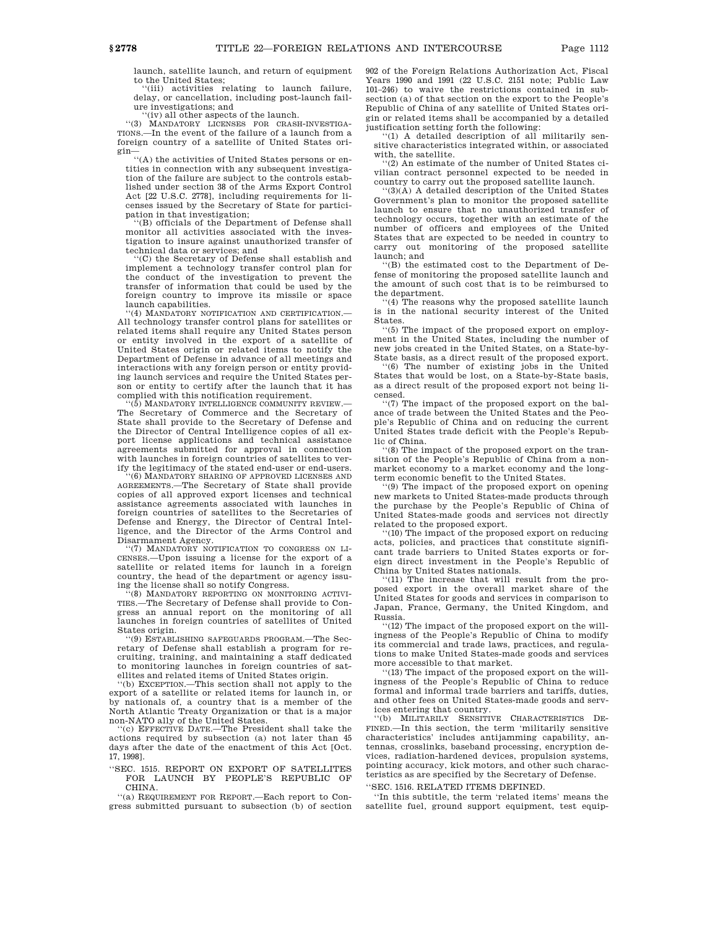launch, satellite launch, and return of equipment to the United States;

''(iii) activities relating to launch failure, delay, or cancellation, including post-launch failure investigations; and

 $\mathcal{C}(\mathbf{iv})$  all other aspects of the launch.

''(3) MANDATORY LICENSES FOR CRASH-INVESTIGA-TIONS.—In the event of the failure of a launch from a foreign country of a satellite of United States origin— ''(A) the activities of United States persons or en-

tities in connection with any subsequent investigation of the failure are subject to the controls established under section 38 of the Arms Export Control Act [22 U.S.C. 2778], including requirements for licenses issued by the Secretary of State for participation in that investigation;

''(B) officials of the Department of Defense shall monitor all activities associated with the investigation to insure against unauthorized transfer of technical data or services; and

''(C) the Secretary of Defense shall establish and implement a technology transfer control plan for the conduct of the investigation to prevent the transfer of information that could be used by the foreign country to improve its missile or space launch capabilities.

''(4) MANDATORY NOTIFICATION AND CERTIFICATION.— All technology transfer control plans for satellites or related items shall require any United States person or entity involved in the export of a satellite of United States origin or related items to notify the Department of Defense in advance of all meetings and interactions with any foreign person or entity providing launch services and require the United States person or entity to certify after the launch that it has complied with this notification requirement.

''(5) MANDATORY INTELLIGENCE COMMUNITY REVIEW.— The Secretary of Commerce and the Secretary of State shall provide to the Secretary of Defense and the Director of Central Intelligence copies of all export license applications and technical assistance agreements submitted for approval in connection with launches in foreign countries of satellites to verify the legitimacy of the stated end-user or end-users.

(6) MANDATORY SHARING OF APPROVED LICENSES AND AGREEMENTS.—The Secretary of State shall provide copies of all approved export licenses and technical assistance agreements associated with launches in foreign countries of satellites to the Secretaries of Defense and Energy, the Director of Central Intelligence, and the Director of the Arms Control and Disarmament Agency. ''(7) MANDATORY NOTIFICATION TO CONGRESS ON LI-

CENSES.—Upon issuing a license for the export of a satellite or related items for launch in a foreign country, the head of the department or agency issuing the license shall so notify Congress.

(8) MANDATORY REPORTING ON MONITORING ACTIVI-TIES.—The Secretary of Defense shall provide to Congress an annual report on the monitoring of all launches in foreign countries of satellites of United States origin.

''(9) ESTABLISHING SAFEGUARDS PROGRAM.—The Secretary of Defense shall establish a program for recruiting, training, and maintaining a staff dedicated to monitoring launches in foreign countries of satellites and related items of United States origin.

'(b) EXCEPTION.—This section shall not apply to the export of a satellite or related items for launch in, or by nationals of, a country that is a member of the North Atlantic Treaty Organization or that is a major non-NATO ally of the United States.

'(c) EFFECTIVE DATE.—The President shall take the actions required by subsection (a) not later than 45 days after the date of the enactment of this Act [Oct. 17, 1998].

#### ''SEC. 1515. REPORT ON EXPORT OF SATELLITES FOR LAUNCH BY PEOPLE'S REPUBLIC OF CHINA.

''(a) REQUIREMENT FOR REPORT.—Each report to Congress submitted pursuant to subsection (b) of section 902 of the Foreign Relations Authorization Act, Fiscal Years 1990 and 1991 (22 U.S.C. 2151 note; Public Law 101–246) to waive the restrictions contained in subsection (a) of that section on the export to the People's Republic of China of any satellite of United States origin or related items shall be accompanied by a detailed justification setting forth the following:

'(1) A detailed description of all militarily sensitive characteristics integrated within, or associated with, the satellite.

''(2) An estimate of the number of United States civilian contract personnel expected to be needed in country to carry out the proposed satellite launch.

''(3)(A) A detailed description of the United States Government's plan to monitor the proposed satellite launch to ensure that no unauthorized transfer of technology occurs, together with an estimate of the number of officers and employees of the United States that are expected to be needed in country to carry out monitoring of the proposed satellite launch; and

''(B) the estimated cost to the Department of Defense of monitoring the proposed satellite launch and the amount of such cost that is to be reimbursed to the department.

''(4) The reasons why the proposed satellite launch is in the national security interest of the United States.

''(5) The impact of the proposed export on employment in the United States, including the number of new jobs created in the United States, on a State-by-State basis, as a direct result of the proposed export.

''(6) The number of existing jobs in the United States that would be lost, on a State-by-State basis, as a direct result of the proposed export not being licensed.

 $\frac{150a}{7}$ . The impact of the proposed export on the balance of trade between the United States and the People's Republic of China and on reducing the current United States trade deficit with the People's Republic of China.

''(8) The impact of the proposed export on the transition of the People's Republic of China from a nonmarket economy to a market economy and the longterm economic benefit to the United States.

''(9) The impact of the proposed export on opening new markets to United States-made products through the purchase by the People's Republic of China of United States-made goods and services not directly related to the proposed export.

''(10) The impact of the proposed export on reducing acts, policies, and practices that constitute significant trade barriers to United States exports or foreign direct investment in the People's Republic of China by United States nationals.

''(11) The increase that will result from the proposed export in the overall market share of the United States for goods and services in comparison to Japan, France, Germany, the United Kingdom, and Russia.

 $(12)$  The impact of the proposed export on the willingness of the People's Republic of China to modify its commercial and trade laws, practices, and regulations to make United States-made goods and services more accessible to that market.

''(13) The impact of the proposed export on the willingness of the People's Republic of China to reduce formal and informal trade barriers and tariffs, duties, and other fees on United States-made goods and services entering that country.

'(b) MILITARILY SENSITIVE CHARACTERISTICS DE-FINED.—In this section, the term 'militarily sensitive characteristics' includes antijamming capability, antennas, crosslinks, baseband processing, encryption devices, radiation-hardened devices, propulsion systems, pointing accuracy, kick motors, and other such characteristics as are specified by the Secretary of Defense.

'SEC. 1516. RELATED ITEMS DEFINED.

''In this subtitle, the term 'related items' means the satellite fuel, ground support equipment, test equip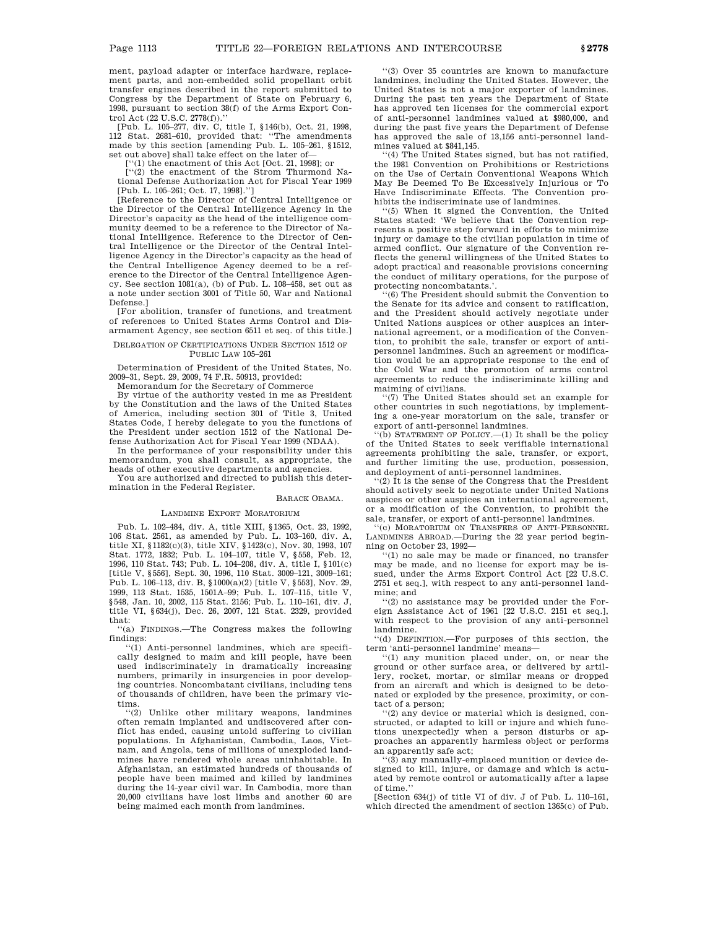ment, payload adapter or interface hardware, replacement parts, and non-embedded solid propellant orbit transfer engines described in the report submitted to Congress by the Department of State on February 6, 1998, pursuant to section 38(f) of the Arms Export Control Act (22 U.S.C. 2778(f)).''

[Pub. L. 105–277, div. C, title I, §146(b), Oct. 21, 1998, 112 Stat. 2681–610, provided that: ''The amendments made by this section [amending Pub. L. 105–261, §1512, set out above] shall take effect on the later of—

[''(1) the enactment of this Act [Oct. 21, 1998]; or

[''(2) the enactment of the Strom Thurmond National Defense Authorization Act for Fiscal Year 1999 [Pub. L. 105-261; Oct. 17, 1998].'

[Reference to the Director of Central Intelligence or the Director of the Central Intelligence Agency in the Director's capacity as the head of the intelligence community deemed to be a reference to the Director of National Intelligence. Reference to the Director of Central Intelligence or the Director of the Central Intelligence Agency in the Director's capacity as the head of the Central Intelligence Agency deemed to be a reference to the Director of the Central Intelligence Agency. See section 1081(a), (b) of Pub. L. 108–458, set out as a note under section 3001 of Title 50, War and National Defense.]

[For abolition, transfer of functions, and treatment of references to United States Arms Control and Disarmament Agency, see section 6511 et seq. of this title.]

### DELEGATION OF CERTIFICATIONS UNDER SECTION 1512 OF PUBLIC LAW 105–261

Determination of President of the United States, No. 2009–31, Sept. 29, 2009, 74 F.R. 50913, provided:

Memorandum for the Secretary of Commerce

By virtue of the authority vested in me as President by the Constitution and the laws of the United States of America, including section 301 of Title 3, United States Code, I hereby delegate to you the functions of the President under section 1512 of the National Defense Authorization Act for Fiscal Year 1999 (NDAA).

In the performance of your responsibility under this memorandum, you shall consult, as appropriate, the heads of other executive departments and agencies.

You are authorized and directed to publish this determination in the Federal Register.

#### BARACK OBAMA.

#### LANDMINE EXPORT MORATORIUM

Pub. L. 102–484, div. A, title XIII, §1365, Oct. 23, 1992, 106 Stat. 2561, as amended by Pub. L. 103–160, div. A, title XI, §1182(c)(3), title XIV, §1423(c), Nov. 30, 1993, 107 Stat. 1772, 1832; Pub. L. 104–107, title V, §558, Feb. 12, 1996, 110 Stat. 743; Pub. L. 104–208, div. A, title I, §101(c) [title V, §556], Sept. 30, 1996, 110 Stat. 3009–121, 3009–161; Pub. L. 106–113, div. B, §1000(a)(2) [title V, §553], Nov. 29, 1999, 113 Stat. 1535, 1501A–99; Pub. L. 107–115, title V, §548, Jan. 10, 2002, 115 Stat. 2156; Pub. L. 110–161, div. J, title VI, §634(j), Dec. 26, 2007, 121 Stat. 2329, provided that:

''(a) FINDINGS.—The Congress makes the following findings:

''(1) Anti-personnel landmines, which are specifically designed to maim and kill people, have been used indiscriminately in dramatically increasing numbers, primarily in insurgencies in poor developing countries. Noncombatant civilians, including tens of thousands of children, have been the primary victims.

''(2) Unlike other military weapons, landmines often remain implanted and undiscovered after conflict has ended, causing untold suffering to civilian populations. In Afghanistan, Cambodia, Laos, Vietnam, and Angola, tens of millions of unexploded landmines have rendered whole areas uninhabitable. In Afghanistan, an estimated hundreds of thousands of people have been maimed and killed by landmines during the 14-year civil war. In Cambodia, more than 20,000 civilians have lost limbs and another 60 are being maimed each month from landmines.

''(3) Over 35 countries are known to manufacture landmines, including the United States. However, the United States is not a major exporter of landmines. During the past ten years the Department of State has approved ten licenses for the commercial export of anti-personnel landmines valued at \$980,000, and during the past five years the Department of Defense has approved the sale of 13,156 anti-personnel landmines valued at \$841,145.

''(4) The United States signed, but has not ratified, the 1981 Convention on Prohibitions or Restrictions on the Use of Certain Conventional Weapons Which May Be Deemed To Be Excessively Injurious or To Have Indiscriminate Effects. The Convention prohibits the indiscriminate use of landmines.

''(5) When it signed the Convention, the United States stated: 'We believe that the Convention represents a positive step forward in efforts to minimize injury or damage to the civilian population in time of armed conflict. Our signature of the Convention reflects the general willingness of the United States to adopt practical and reasonable provisions concerning the conduct of military operations, for the purpose of protecting noncombatants.

''(6) The President should submit the Convention to the Senate for its advice and consent to ratification, and the President should actively negotiate under United Nations auspices or other auspices an international agreement, or a modification of the Convention, to prohibit the sale, transfer or export of antipersonnel landmines. Such an agreement or modification would be an appropriate response to the end of the Cold War and the promotion of arms control agreements to reduce the indiscriminate killing and maiming of civilians.

''(7) The United States should set an example for other countries in such negotiations, by implementing a one-year moratorium on the sale, transfer or export of anti-personnel landmines.

 $f(b)$  STATEMENT OF POLICY.—(1) It shall be the policy of the United States to seek verifiable international agreements prohibiting the sale, transfer, or export, and further limiting the use, production, possession, and deployment of anti-personnel landmines.

 $''(2)$  It is the sense of the Congress that the President should actively seek to negotiate under United Nations auspices or other auspices an international agreement, or a modification of the Convention, to prohibit the sale, transfer, or export of anti-personnel landmines.

''(c) MORATORIUM ON TRANSFERS OF ANTI-PERSONNEL LANDMINES ABROAD.—During the 22 year period beginning on October 23, 1992–

 $(1)$  no sale may be made or financed, no transfer may be made, and no license for export may be issued, under the Arms Export Control Act [22 U.S.C. 2751 et seq.], with respect to any anti-personnel landmine; and

''(2) no assistance may be provided under the Foreign Assistance Act of 1961 [22 U.S.C. 2151 et seq.], with respect to the provision of any anti-personnel landmine.

''(d) DEFINITION.—For purposes of this section, the term 'anti-personnel landmine' means—

''(1) any munition placed under, on, or near the ground or other surface area, or delivered by artillery, rocket, mortar, or similar means or dropped from an aircraft and which is designed to be detonated or exploded by the presence, proximity, or contact of a person;

 $(2)$  any device or material which is designed, constructed, or adapted to kill or injure and which functions unexpectedly when a person disturbs or approaches an apparently harmless object or performs an apparently safe act;

''(3) any manually-emplaced munition or device designed to kill, injure, or damage and which is actuated by remote control or automatically after a lapse of time.''

[Section 634(j) of title VI of div. J of Pub. L. 110–161, which directed the amendment of section 1365(c) of Pub.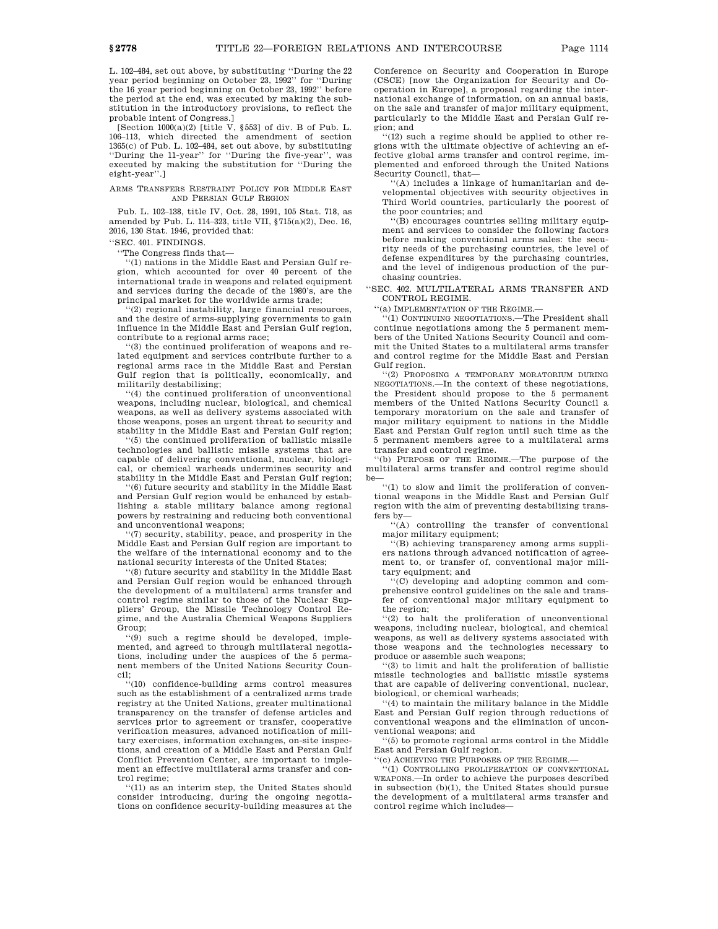L. 102–484, set out above, by substituting ''During the 22 year period beginning on October 23, 1992'' for ''During the 16 year period beginning on October 23, 1992'' before the period at the end, was executed by making the substitution in the introductory provisions, to reflect the probable intent of Congress.]

[Section  $1000(a)(2)$  [title V, §553] of div. B of Pub. L. 106–113, which directed the amendment of section 1365(c) of Pub. L. 102–484, set out above, by substituting ''During the 11-year'' for ''During the five-year'', was executed by making the substitution for ''During the eight-year''.]

## ARMS TRANSFERS RESTRAINT POLICY FOR MIDDLE EAST AND PERSIAN GULF REGION

Pub. L. 102–138, title IV, Oct. 28, 1991, 105 Stat. 718, as amended by Pub. L. 114–323, title VII, §715(a)(2), Dec. 16, 2016, 130 Stat. 1946, provided that:

''SEC. 401. FINDINGS.

''The Congress finds that—

''(1) nations in the Middle East and Persian Gulf region, which accounted for over 40 percent of the international trade in weapons and related equipment and services during the decade of the 1980's, are the principal market for the worldwide arms trade;

''(2) regional instability, large financial resources, and the desire of arms-supplying governments to gain influence in the Middle East and Persian Gulf region, contribute to a regional arms race;

''(3) the continued proliferation of weapons and related equipment and services contribute further to a regional arms race in the Middle East and Persian Gulf region that is politically, economically, and militarily destabilizing;

''(4) the continued proliferation of unconventional weapons, including nuclear, biological, and chemical weapons, as well as delivery systems associated with those weapons, poses an urgent threat to security and stability in the Middle East and Persian Gulf region;

''(5) the continued proliferation of ballistic missile technologies and ballistic missile systems that are capable of delivering conventional, nuclear, biological, or chemical warheads undermines security and stability in the Middle East and Persian Gulf region;

''(6) future security and stability in the Middle East and Persian Gulf region would be enhanced by establishing a stable military balance among regional powers by restraining and reducing both conventional and unconventional weapons;

''(7) security, stability, peace, and prosperity in the Middle East and Persian Gulf region are important to the welfare of the international economy and to the national security interests of the United States;

''(8) future security and stability in the Middle East and Persian Gulf region would be enhanced through the development of a multilateral arms transfer and control regime similar to those of the Nuclear Suppliers' Group, the Missile Technology Control Regime, and the Australia Chemical Weapons Suppliers Group;

''(9) such a regime should be developed, implemented, and agreed to through multilateral negotiations, including under the auspices of the 5 permanent members of the United Nations Security Council;

''(10) confidence-building arms control measures such as the establishment of a centralized arms trade registry at the United Nations, greater multinational transparency on the transfer of defense articles and services prior to agreement or transfer, cooperative verification measures, advanced notification of military exercises, information exchanges, on-site inspections, and creation of a Middle East and Persian Gulf Conflict Prevention Center, are important to implement an effective multilateral arms transfer and control regime;

''(11) as an interim step, the United States should consider introducing, during the ongoing negotiations on confidence security-building measures at the

Conference on Security and Cooperation in Europe (CSCE) [now the Organization for Security and Cooperation in Europe], a proposal regarding the international exchange of information, on an annual basis, on the sale and transfer of major military equipment, particularly to the Middle East and Persian Gulf region; and

''(12) such a regime should be applied to other regions with the ultimate objective of achieving an effective global arms transfer and control regime, implemented and enforced through the United Nations Security Council, that—

''(A) includes a linkage of humanitarian and developmental objectives with security objectives in Third World countries, particularly the poorest of the poor countries; and

''(B) encourages countries selling military equipment and services to consider the following factors before making conventional arms sales: the security needs of the purchasing countries, the level of defense expenditures by the purchasing countries, and the level of indigenous production of the purchasing countries.

''SEC. 402. MULTILATERAL ARMS TRANSFER AND CONTROL REGIME.

''(a) IMPLEMENTATION OF THE REGIME.—

''(1) CONTINUING NEGOTIATIONS.—The President shall continue negotiations among the 5 permanent members of the United Nations Security Council and commit the United States to a multilateral arms transfer and control regime for the Middle East and Persian Gulf region.

''(2) PROPOSING A TEMPORARY MORATORIUM DURING NEGOTIATIONS.—In the context of these negotiations, the President should propose to the 5 permanent members of the United Nations Security Council a temporary moratorium on the sale and transfer of major military equipment to nations in the Middle East and Persian Gulf region until such time as the 5 permanent members agree to a multilateral arms transfer and control regime.

''(b) PURPOSE OF THE REGIME.—The purpose of the multilateral arms transfer and control regime should be—

''(1) to slow and limit the proliferation of conventional weapons in the Middle East and Persian Gulf region with the aim of preventing destabilizing transfers by—

''(A) controlling the transfer of conventional major military equipment;

''(B) achieving transparency among arms suppliers nations through advanced notification of agreement to, or transfer of, conventional major military equipment; and

''(C) developing and adopting common and comprehensive control guidelines on the sale and transfer of conventional major military equipment to the region;

''(2) to halt the proliferation of unconventional weapons, including nuclear, biological, and chemical weapons, as well as delivery systems associated with those weapons and the technologies necessary to produce or assemble such weapons;

''(3) to limit and halt the proliferation of ballistic missile technologies and ballistic missile systems that are capable of delivering conventional, nuclear, biological, or chemical warheads;

 $\dot{ }$  (4) to maintain the military balance in the Middle East and Persian Gulf region through reductions of conventional weapons and the elimination of unconventional weapons; and

''(5) to promote regional arms control in the Middle East and Persian Gulf region.

''(c) ACHIEVING THE PURPOSES OF THE REGIME.—

''(1) CONTROLLING PROLIFERATION OF CONVENTIONAL WEAPONS.—In order to achieve the purposes described in subsection (b)(1), the United States should pursue the development of a multilateral arms transfer and control regime which includes—